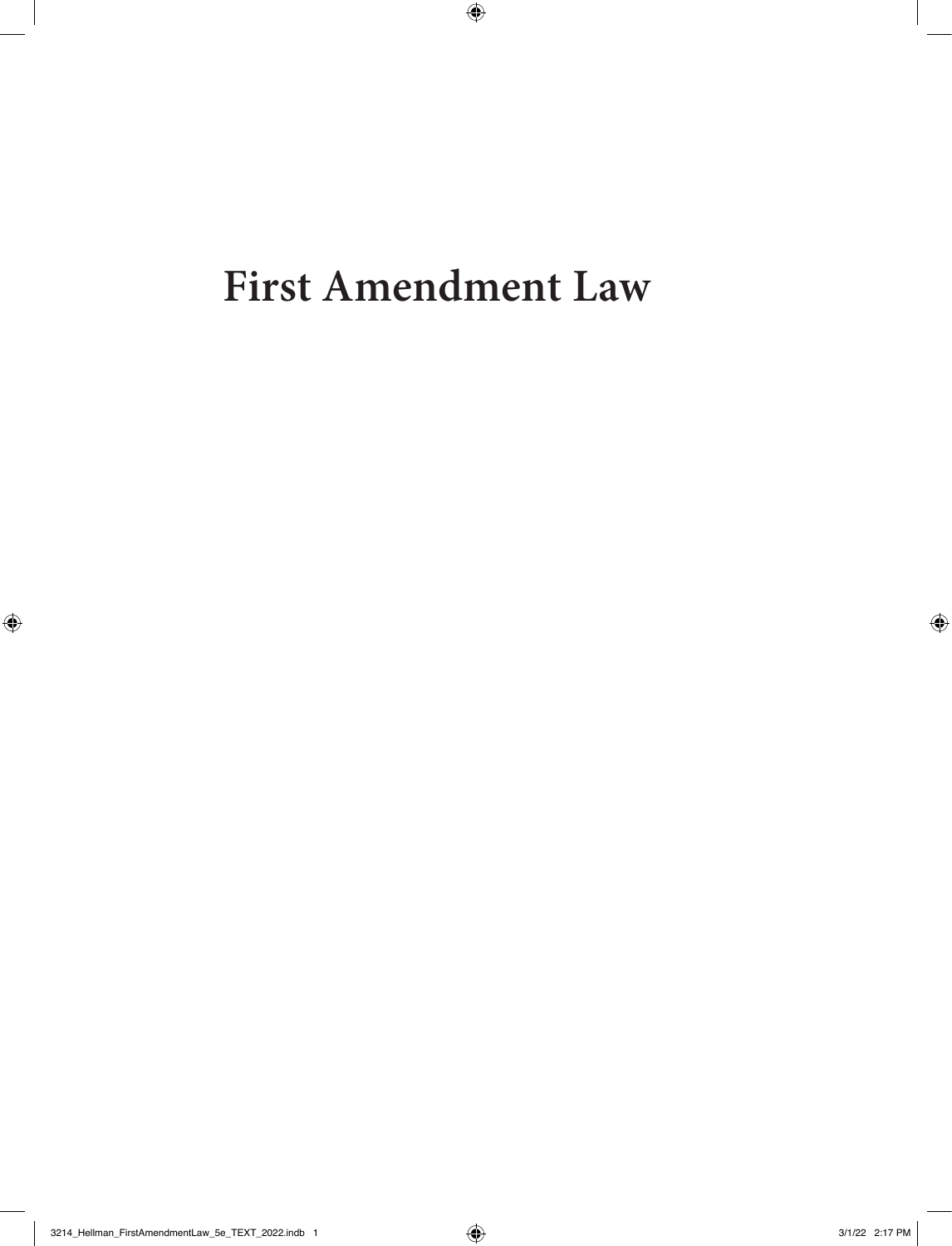# **First Amendment Law**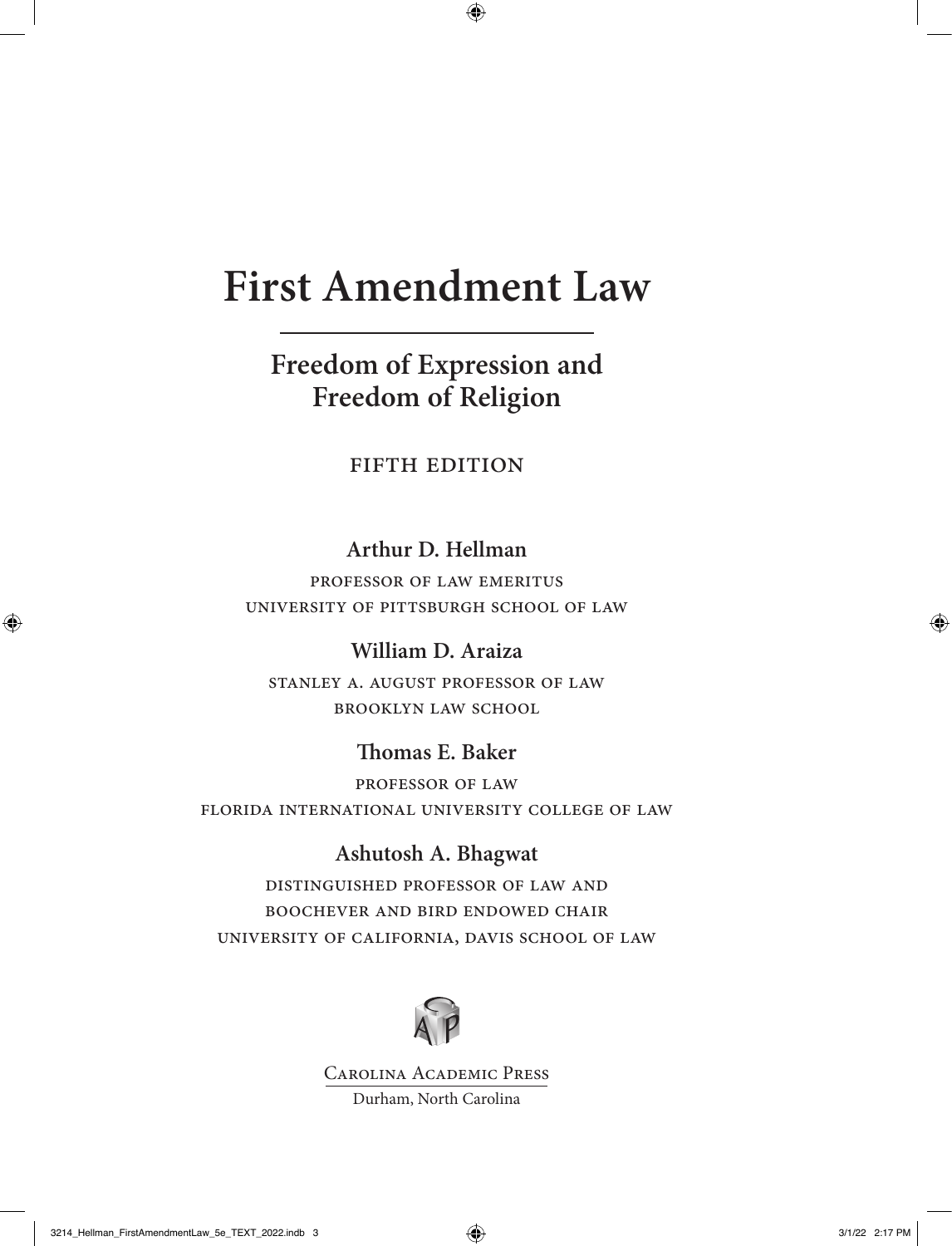## **First Amendment Law**

### **Freedom of Expression and Freedom of Religion**

#### **FIFTH EDITION**

#### **Arthur D. Hellman**

professor of law emeritus university of pittsburgh school of law

#### **William D. Araiza**

stanley a. august professor of law brooklyn law school

#### **Thomas E. Baker**

professor of law florida international university college of law

**Ashutosh A. Bhagwat** distinguished professor of law and boochever and bird endowed chair university of california, davis school of law



Carolina Academic Press Durham, North Carolina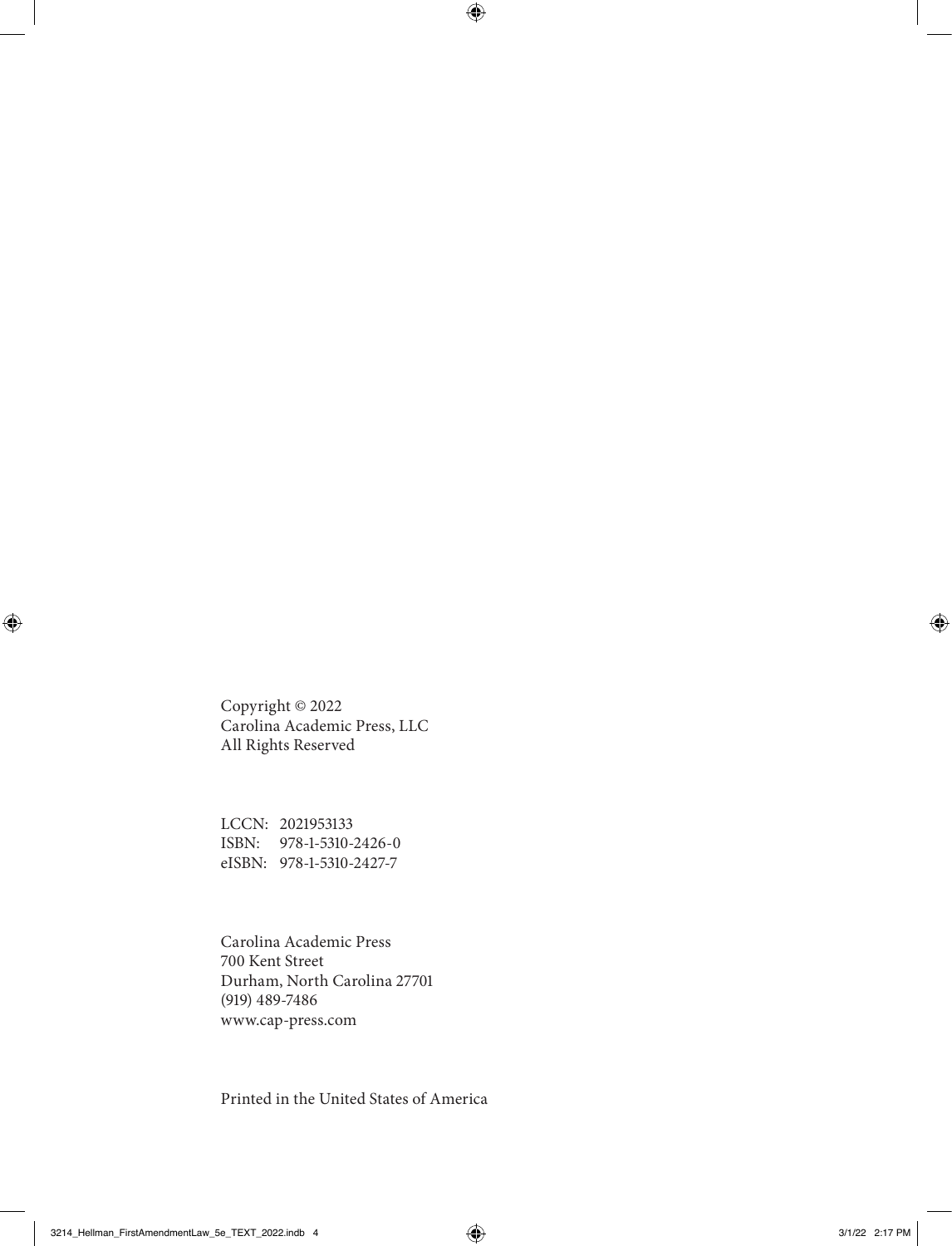Copyright © 2022 Carolina Academic Press, LLC All Rights Reserved

LCCN: 2021953133 ISBN: 978-1-5310-2426-0 eISBN: 978-1-5310-2427-7

Carolina Academic Press 700 Kent Street Durham, North Carolina 27701 (919) 489-7486 [www.cap-press.com](http://www.cap-press.com)

Printed in the United States of America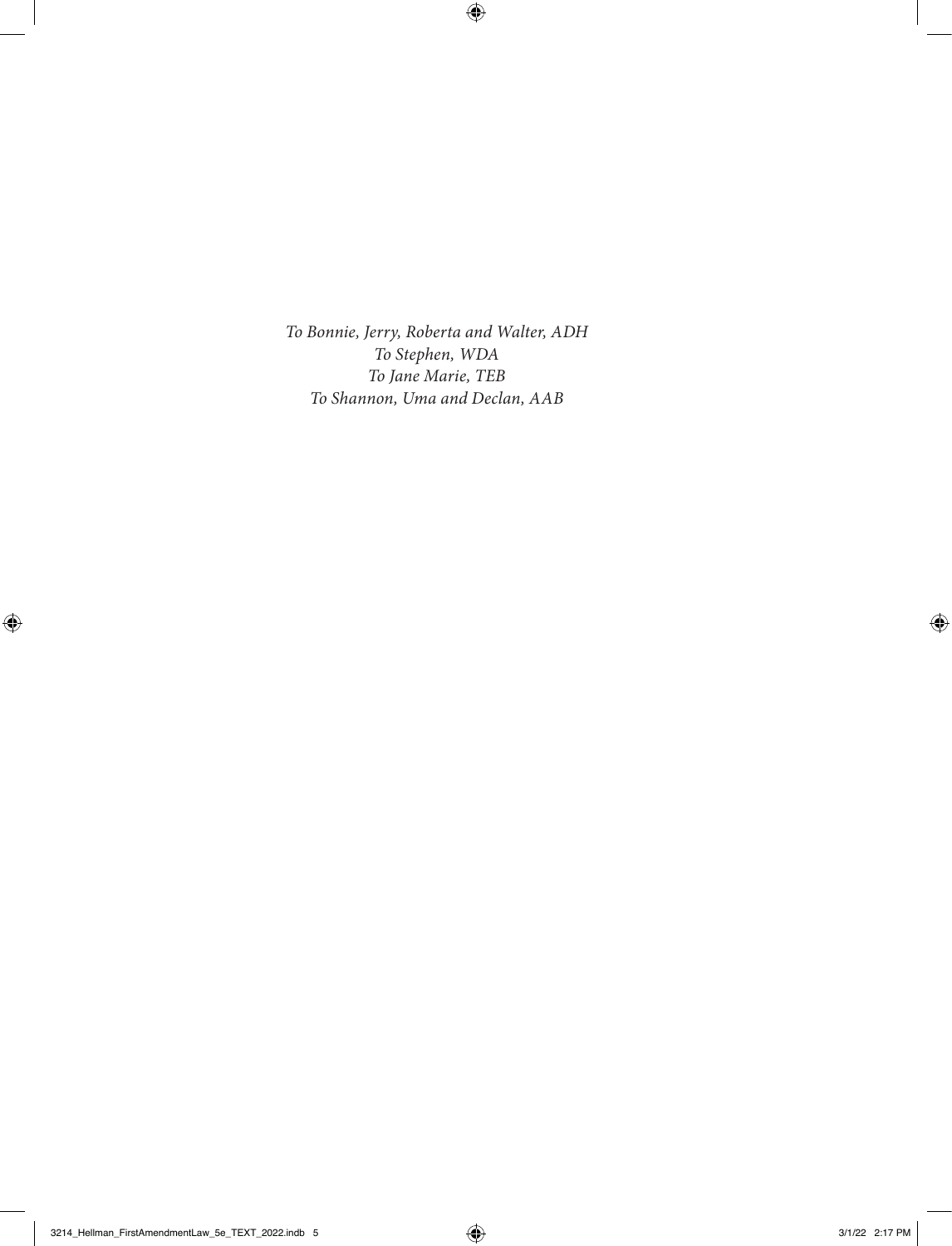*To Bonnie, Jerry, Roberta and Walter, ADH To Stephen, WDA To Jane Marie, TEB To Shannon, Uma and Declan, AAB*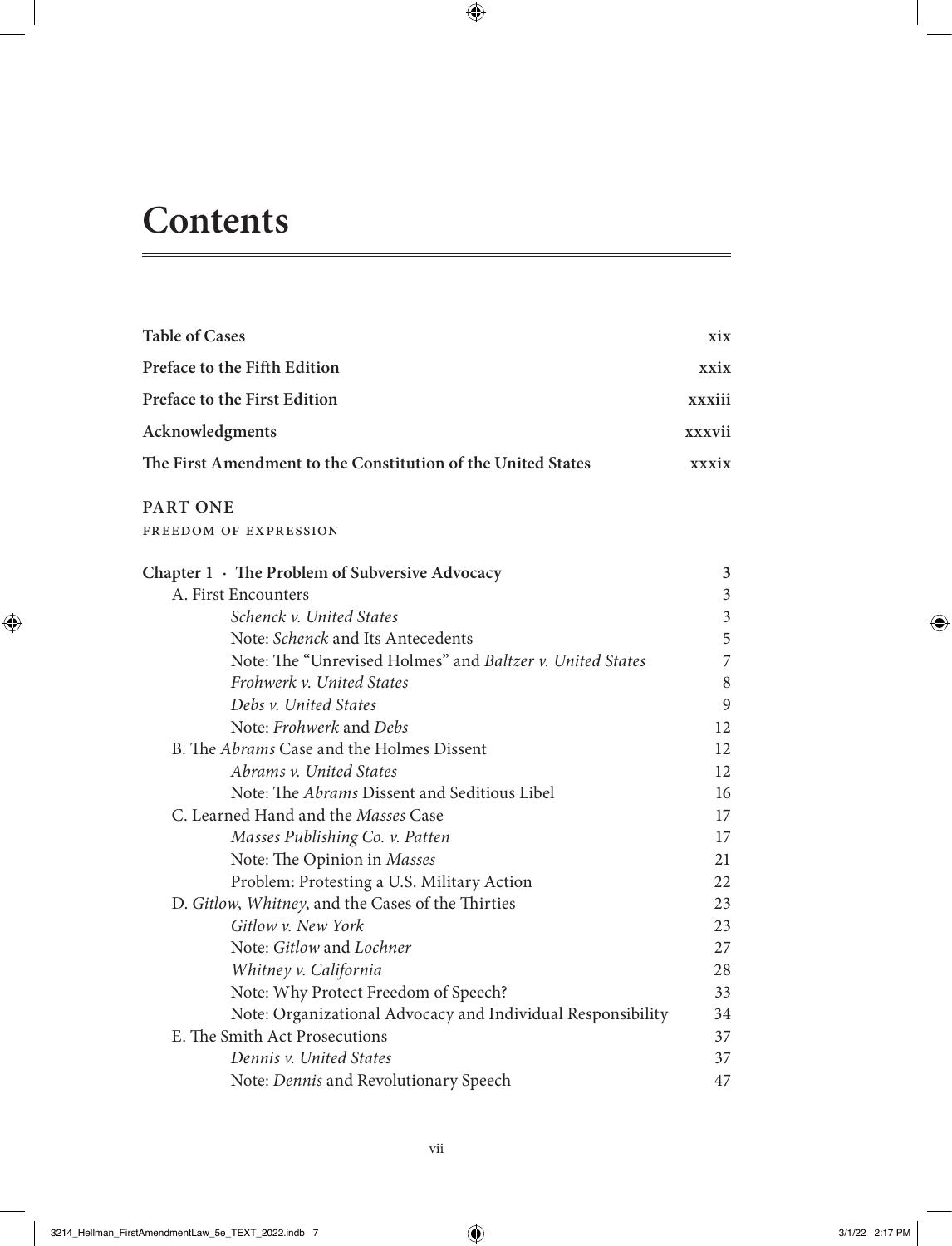## **Contents**

| <b>Table of Cases</b>                                        | xix            |
|--------------------------------------------------------------|----------------|
| Preface to the Fifth Edition                                 | xxix           |
| Preface to the First Edition                                 | xxxiii         |
| Acknowledgments                                              | xxxvii         |
| The First Amendment to the Constitution of the United States | xxxix          |
| PART ONE                                                     |                |
| FREEDOM OF EXPRESSION                                        |                |
| Chapter 1 · The Problem of Subversive Advocacy               | 3              |
| A. First Encounters                                          | $\mathfrak{Z}$ |
| Schenck v. United States                                     | $\overline{3}$ |
| Note: Schenck and Its Antecedents                            | 5              |
| Note: The "Unrevised Holmes" and Baltzer v. United States    | 7              |
| Frohwerk v. United States                                    | 8              |
| Debs v. United States                                        | 9              |
| Note: Frohwerk and Debs                                      | 12             |
| B. The Abrams Case and the Holmes Dissent                    | 12             |
| Abrams v. United States                                      | 12             |
| Note: The Abrams Dissent and Seditious Libel                 | 16             |
| C. Learned Hand and the Masses Case                          | 17             |
| Masses Publishing Co. v. Patten                              | 17             |
| Note: The Opinion in Masses                                  | 21             |
| Problem: Protesting a U.S. Military Action                   | 22             |
| D. Gitlow, Whitney, and the Cases of the Thirties            | 23             |
| Gitlow v. New York                                           | 23             |
| Note: Gitlow and Lochner                                     | 27             |
| Whitney v. California                                        | 28             |
| Note: Why Protect Freedom of Speech?                         | 33             |
| Note: Organizational Advocacy and Individual Responsibility  | 34             |
| E. The Smith Act Prosecutions                                | 37             |
| Dennis v. United States                                      | 37             |
| Note: Dennis and Revolutionary Speech                        | 47             |

=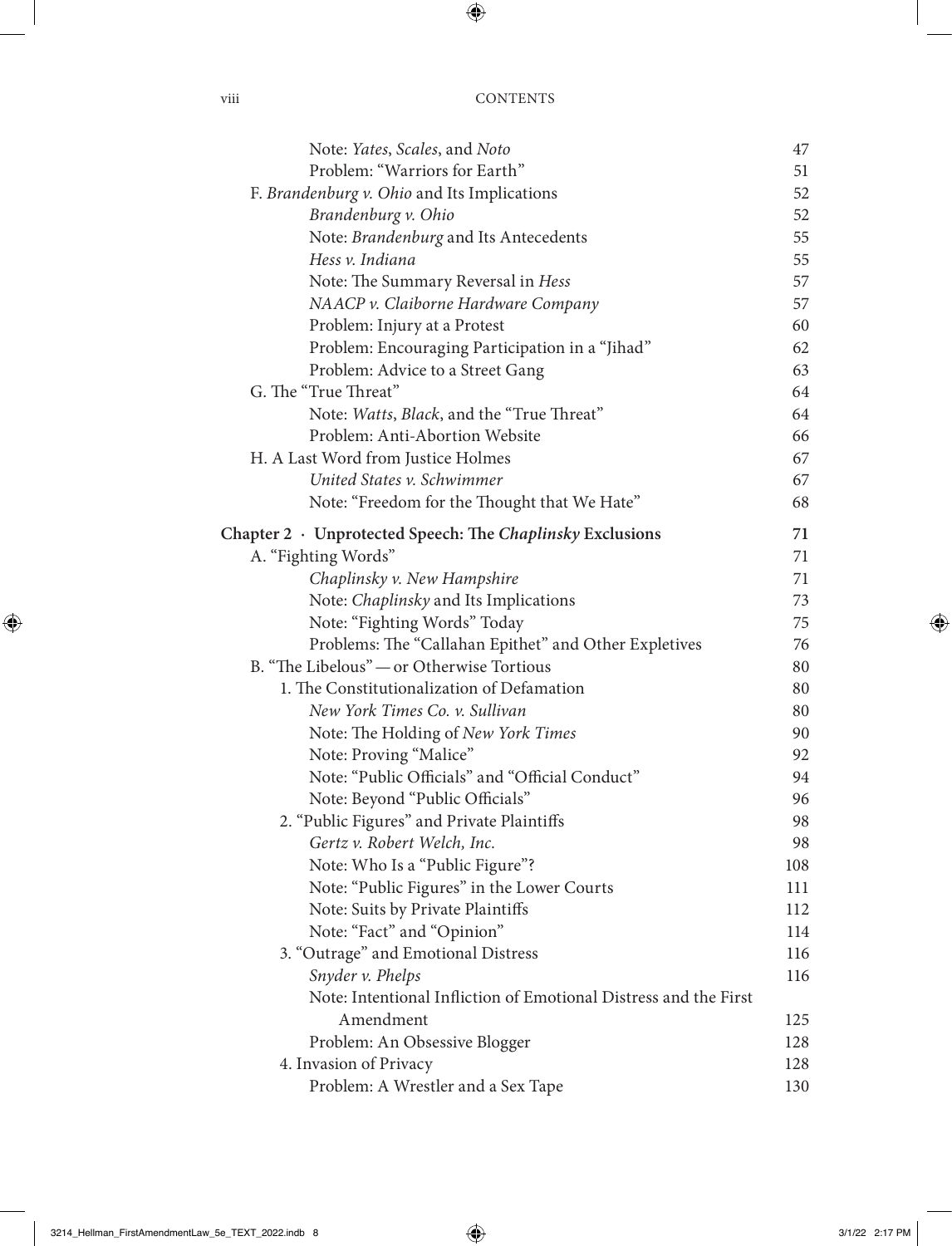viii CONTENTS

| Note: Yates, Scales, and Noto                                    | 47  |
|------------------------------------------------------------------|-----|
| Problem: "Warriors for Earth"                                    | 51  |
| F. Brandenburg v. Ohio and Its Implications                      | 52  |
| Brandenburg v. Ohio                                              | 52  |
| Note: Brandenburg and Its Antecedents                            | 55  |
| Hess v. Indiana                                                  | 55  |
| Note: The Summary Reversal in Hess                               | 57  |
| NAACP v. Claiborne Hardware Company                              | 57  |
| Problem: Injury at a Protest                                     | 60  |
| Problem: Encouraging Participation in a "Jihad"                  | 62  |
| Problem: Advice to a Street Gang                                 | 63  |
| G. The "True Threat"                                             | 64  |
| Note: Watts, Black, and the "True Threat"                        | 64  |
| Problem: Anti-Abortion Website                                   | 66  |
| H. A Last Word from Justice Holmes                               | 67  |
| United States v. Schwimmer                                       | 67  |
| Note: "Freedom for the Thought that We Hate"                     | 68  |
| Chapter $2 \cdot$ Unprotected Speech: The Chaplinsky Exclusions  | 71  |
| A. "Fighting Words"                                              | 71  |
| Chaplinsky v. New Hampshire                                      | 71  |
| Note: Chaplinsky and Its Implications                            | 73  |
| Note: "Fighting Words" Today                                     | 75  |
| Problems: The "Callahan Epithet" and Other Expletives            | 76  |
| B. "The Libelous" — or Otherwise Tortious                        | 80  |
| 1. The Constitutionalization of Defamation                       | 80  |
| New York Times Co. v. Sullivan                                   | 80  |
| Note: The Holding of New York Times                              | 90  |
| Note: Proving "Malice"                                           | 92  |
| Note: "Public Officials" and "Official Conduct"                  | 94  |
| Note: Beyond "Public Officials"                                  | 96  |
| 2. "Public Figures" and Private Plaintiffs                       | 98  |
| Gertz v. Robert Welch, Inc.                                      | 98  |
| Note: Who Is a "Public Figure"?                                  | 108 |
| Note: "Public Figures" in the Lower Courts                       | 111 |
| Note: Suits by Private Plaintiffs                                | 112 |
| Note: "Fact" and "Opinion"                                       | 114 |
| 3. "Outrage" and Emotional Distress                              | 116 |
| Snyder v. Phelps                                                 | 116 |
| Note: Intentional Infliction of Emotional Distress and the First |     |
| Amendment                                                        | 125 |
| Problem: An Obsessive Blogger                                    | 128 |
| 4. Invasion of Privacy                                           | 128 |
| Problem: A Wrestler and a Sex Tape                               | 130 |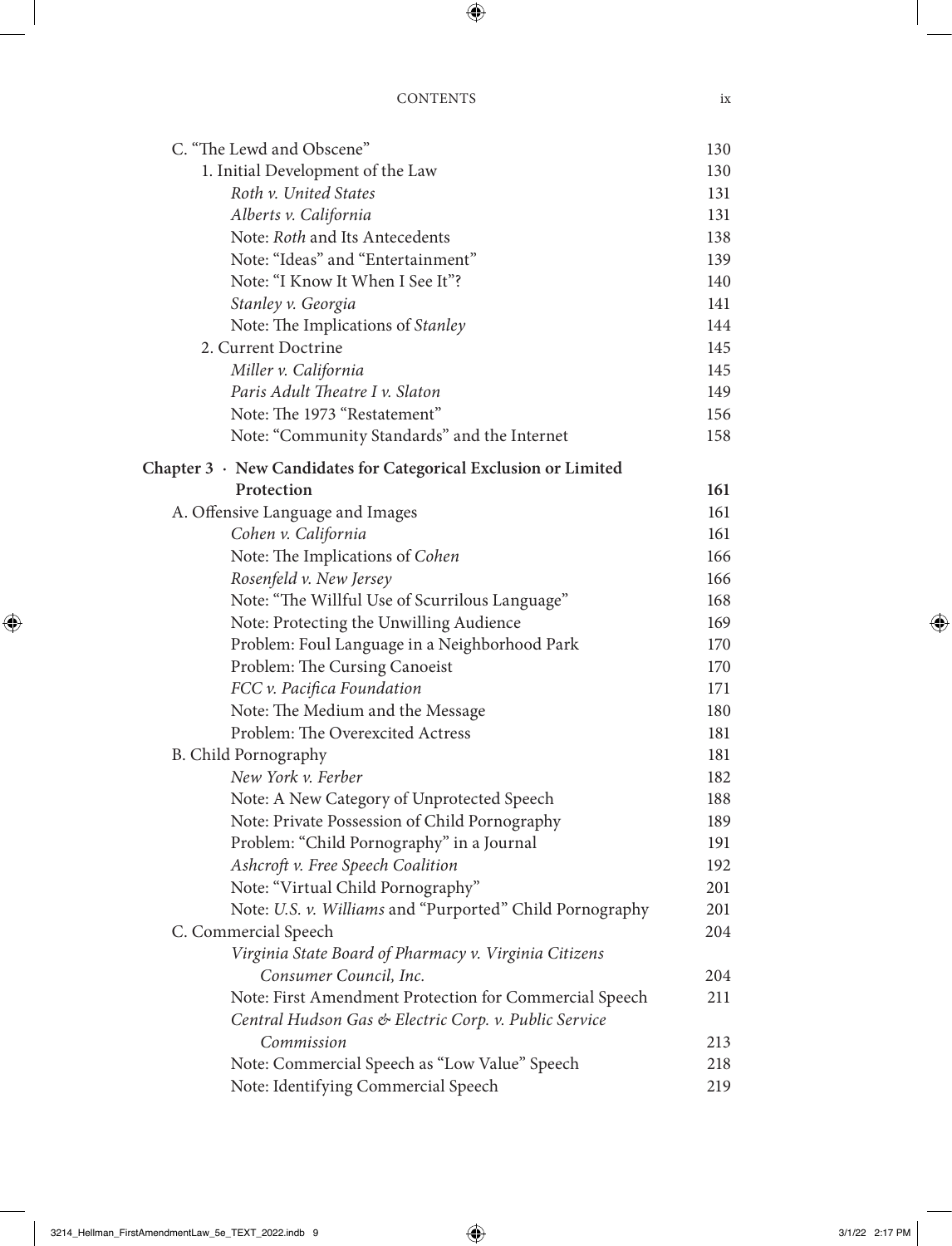| C. "The Lewd and Obscene"                                             | 130 |
|-----------------------------------------------------------------------|-----|
| 1. Initial Development of the Law                                     | 130 |
| Roth v. United States                                                 | 131 |
| Alberts v. California                                                 | 131 |
| Note: Roth and Its Antecedents                                        | 138 |
| Note: "Ideas" and "Entertainment"                                     | 139 |
| Note: "I Know It When I See It"?                                      | 140 |
| Stanley v. Georgia                                                    | 141 |
| Note: The Implications of Stanley                                     | 144 |
| 2. Current Doctrine                                                   | 145 |
| Miller v. California                                                  | 145 |
| Paris Adult Theatre I v. Slaton                                       | 149 |
| Note: The 1973 "Restatement"                                          | 156 |
| Note: "Community Standards" and the Internet                          | 158 |
| Chapter $3 \cdot$ New Candidates for Categorical Exclusion or Limited |     |
| Protection                                                            | 161 |
| A. Offensive Language and Images                                      | 161 |
| Cohen v. California                                                   | 161 |
| Note: The Implications of Cohen                                       | 166 |
| Rosenfeld v. New Jersey                                               | 166 |
| Note: "The Willful Use of Scurrilous Language"                        | 168 |
| Note: Protecting the Unwilling Audience                               | 169 |
| Problem: Foul Language in a Neighborhood Park                         | 170 |
| Problem: The Cursing Canoeist                                         | 170 |
| FCC v. Pacifica Foundation                                            | 171 |
| Note: The Medium and the Message                                      | 180 |
| Problem: The Overexcited Actress                                      | 181 |
| B. Child Pornography                                                  | 181 |
| New York v. Ferber                                                    | 182 |
| Note: A New Category of Unprotected Speech                            | 188 |
| Note: Private Possession of Child Pornography                         | 189 |
| Problem: "Child Pornography" in a Journal                             | 191 |
| Ashcroft v. Free Speech Coalition                                     | 192 |
| Note: "Virtual Child Pornography"                                     | 201 |
| Note: U.S. v. Williams and "Purported" Child Pornography              | 201 |
| C. Commercial Speech                                                  | 204 |
| Virginia State Board of Pharmacy v. Virginia Citizens                 |     |
| Consumer Council, Inc.                                                | 204 |
| Note: First Amendment Protection for Commercial Speech                | 211 |
| Central Hudson Gas & Electric Corp. v. Public Service                 |     |
| Commission                                                            | 213 |
| Note: Commercial Speech as "Low Value" Speech                         | 218 |
| Note: Identifying Commercial Speech                                   | 219 |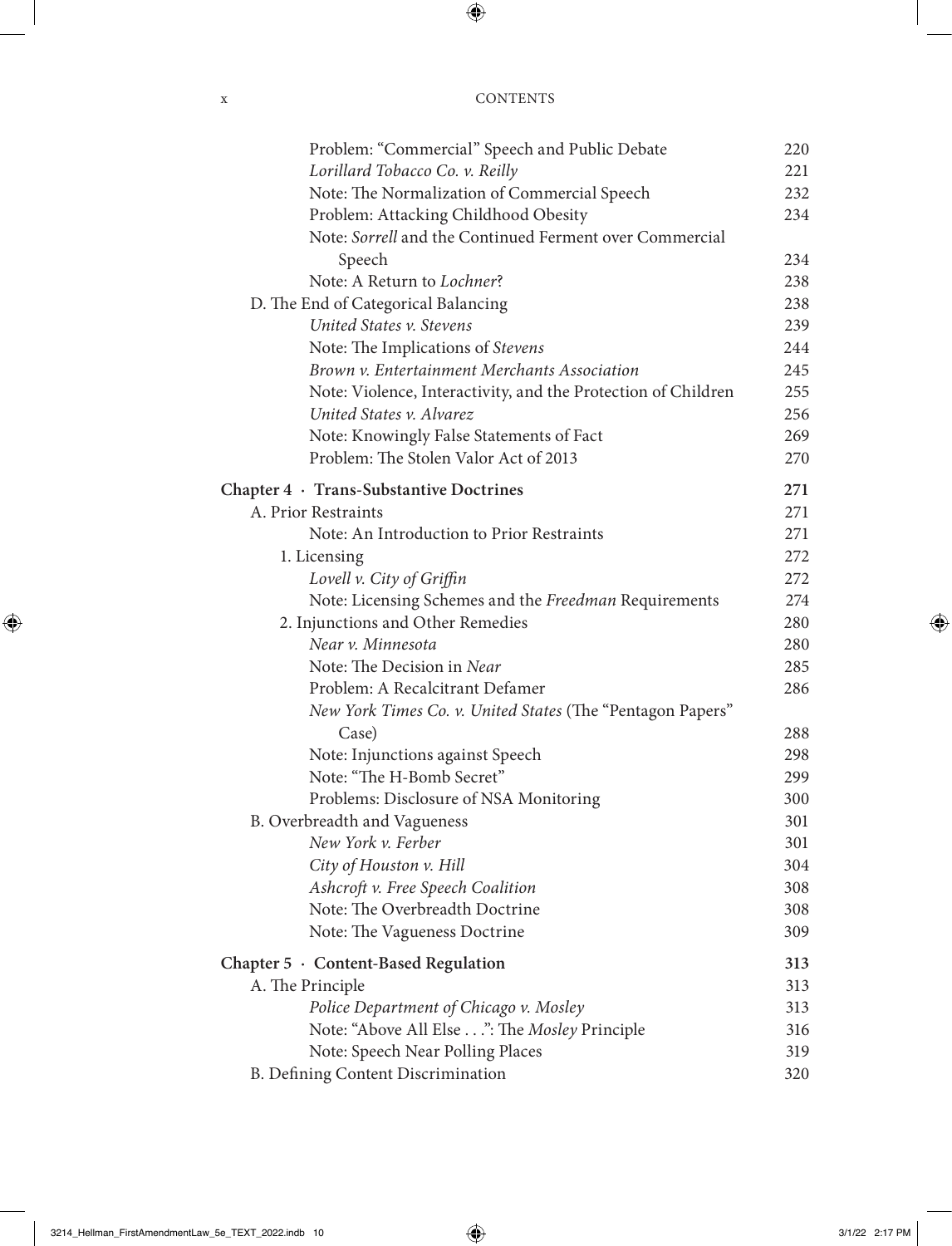| <b>CONTENTS</b> |
|-----------------|
|                 |

| Problem: "Commercial" Speech and Public Debate             |                                                               | 220 |
|------------------------------------------------------------|---------------------------------------------------------------|-----|
| Lorillard Tobacco Co. v. Reilly                            |                                                               | 221 |
| Note: The Normalization of Commercial Speech               |                                                               | 232 |
| Problem: Attacking Childhood Obesity                       |                                                               | 234 |
| Note: Sorrell and the Continued Ferment over Commercial    |                                                               |     |
| Speech                                                     |                                                               | 234 |
| Note: A Return to Lochner?                                 |                                                               | 238 |
| D. The End of Categorical Balancing                        |                                                               | 238 |
| United States v. Stevens                                   |                                                               | 239 |
| Note: The Implications of Stevens                          |                                                               | 244 |
| Brown v. Entertainment Merchants Association               |                                                               | 245 |
|                                                            | Note: Violence, Interactivity, and the Protection of Children | 255 |
| United States v. Alvarez                                   |                                                               | 256 |
| Note: Knowingly False Statements of Fact                   |                                                               | 269 |
| Problem: The Stolen Valor Act of 2013                      |                                                               | 270 |
| Chapter 4 · Trans-Substantive Doctrines                    |                                                               | 271 |
| A. Prior Restraints                                        |                                                               | 271 |
| Note: An Introduction to Prior Restraints                  |                                                               | 271 |
| 1. Licensing                                               |                                                               | 272 |
| Lovell v. City of Griffin                                  |                                                               | 272 |
| Note: Licensing Schemes and the Freedman Requirements      |                                                               | 274 |
| 2. Injunctions and Other Remedies                          |                                                               | 280 |
| Near v. Minnesota                                          |                                                               | 280 |
| Note: The Decision in Near                                 |                                                               | 285 |
| Problem: A Recalcitrant Defamer                            |                                                               | 286 |
| New York Times Co. v. United States (The "Pentagon Papers" |                                                               |     |
| Case)                                                      |                                                               | 288 |
| Note: Injunctions against Speech                           |                                                               | 298 |
| Note: "The H-Bomb Secret"                                  |                                                               | 299 |
| Problems: Disclosure of NSA Monitoring                     |                                                               | 300 |
| B. Overbreadth and Vagueness                               |                                                               | 301 |
| New York v. Ferber                                         |                                                               | 301 |
| City of Houston v. Hill                                    |                                                               | 304 |
| Ashcroft v. Free Speech Coalition                          |                                                               | 308 |
| Note: The Overbreadth Doctrine                             |                                                               | 308 |
| Note: The Vagueness Doctrine                               |                                                               | 309 |
| Chapter $5 \cdot$ Content-Based Regulation                 |                                                               | 313 |
| A. The Principle                                           |                                                               | 313 |
| Police Department of Chicago v. Mosley                     |                                                               | 313 |
| Note: "Above All Else": The Mosley Principle               |                                                               | 316 |
| Note: Speech Near Polling Places                           |                                                               | 319 |
| B. Defining Content Discrimination                         |                                                               | 320 |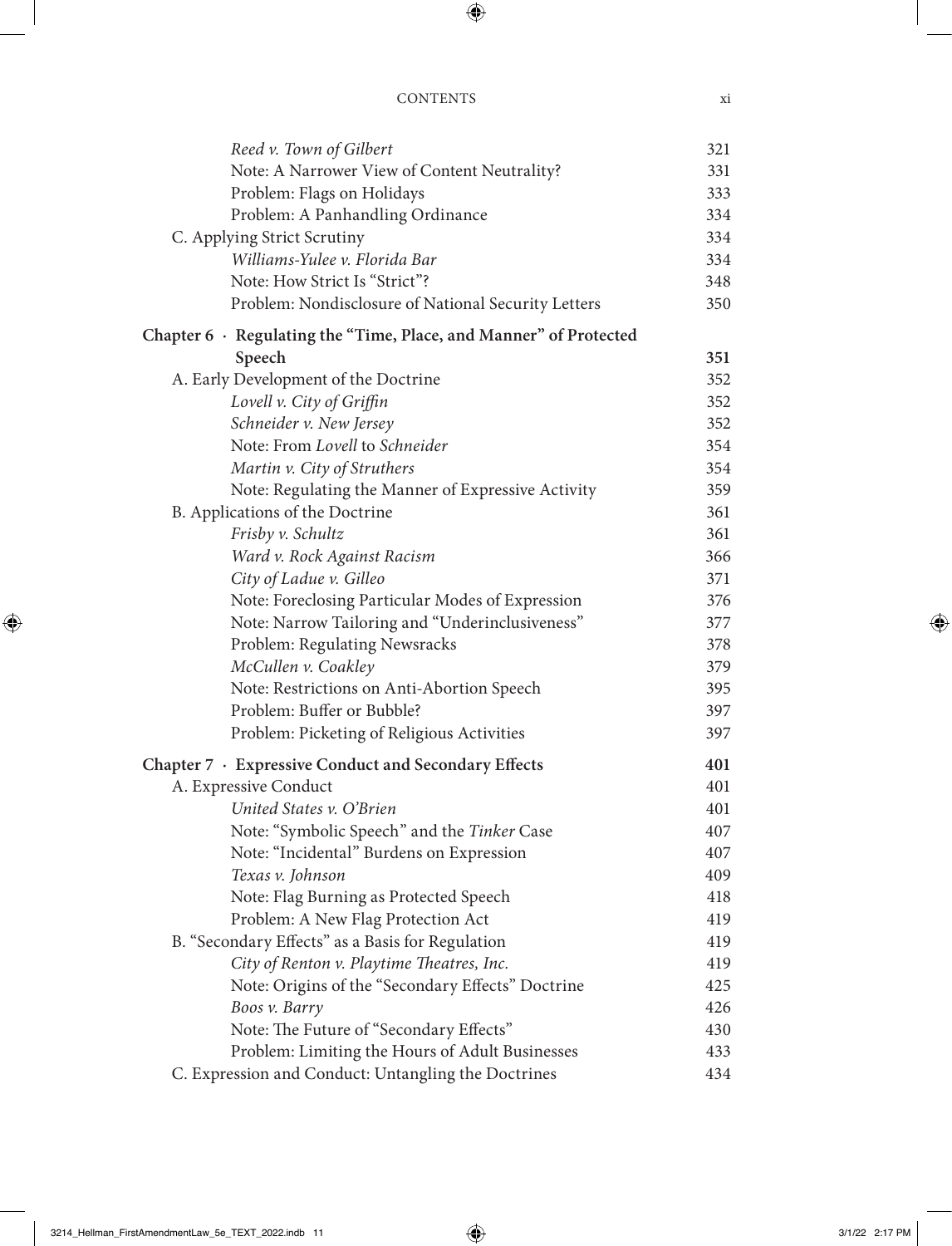| Reed v. Town of Gilbert                                           | 321 |
|-------------------------------------------------------------------|-----|
| Note: A Narrower View of Content Neutrality?                      | 331 |
| Problem: Flags on Holidays                                        | 333 |
| Problem: A Panhandling Ordinance                                  | 334 |
| C. Applying Strict Scrutiny                                       | 334 |
| Williams-Yulee v. Florida Bar                                     | 334 |
| Note: How Strict Is "Strict"?                                     | 348 |
| Problem: Nondisclosure of National Security Letters               | 350 |
| Chapter 6 · Regulating the "Time, Place, and Manner" of Protected |     |
| Speech                                                            | 351 |
| A. Early Development of the Doctrine                              | 352 |
| Lovell v. City of Griffin                                         | 352 |
| Schneider v. New Jersey                                           | 352 |
| Note: From Lovell to Schneider                                    | 354 |
| Martin v. City of Struthers                                       | 354 |
| Note: Regulating the Manner of Expressive Activity                | 359 |
| B. Applications of the Doctrine                                   | 361 |
| Frisby v. Schultz                                                 | 361 |
| Ward v. Rock Against Racism                                       | 366 |
| City of Ladue v. Gilleo                                           | 371 |
| Note: Foreclosing Particular Modes of Expression                  | 376 |
| Note: Narrow Tailoring and "Underinclusiveness"                   | 377 |
| Problem: Regulating Newsracks                                     | 378 |
| McCullen v. Coakley                                               | 379 |
| Note: Restrictions on Anti-Abortion Speech                        | 395 |
| Problem: Buffer or Bubble?                                        | 397 |
| Problem: Picketing of Religious Activities                        | 397 |
| Chapter 7 · Expressive Conduct and Secondary Effects              | 401 |
| A. Expressive Conduct                                             | 401 |
| United States v. O'Brien                                          | 401 |
| Note: "Symbolic Speech" and the Tinker Case                       | 407 |
| Note: "Incidental" Burdens on Expression                          | 407 |
| Texas v. Johnson                                                  | 409 |
| Note: Flag Burning as Protected Speech                            | 418 |
| Problem: A New Flag Protection Act                                | 419 |
| B. "Secondary Effects" as a Basis for Regulation                  | 419 |
| City of Renton v. Playtime Theatres, Inc.                         | 419 |
| Note: Origins of the "Secondary Effects" Doctrine                 | 425 |
| Boos v. Barry                                                     | 426 |
| Note: The Future of "Secondary Effects"                           | 430 |
| Problem: Limiting the Hours of Adult Businesses                   | 433 |
| C. Expression and Conduct: Untangling the Doctrines               | 434 |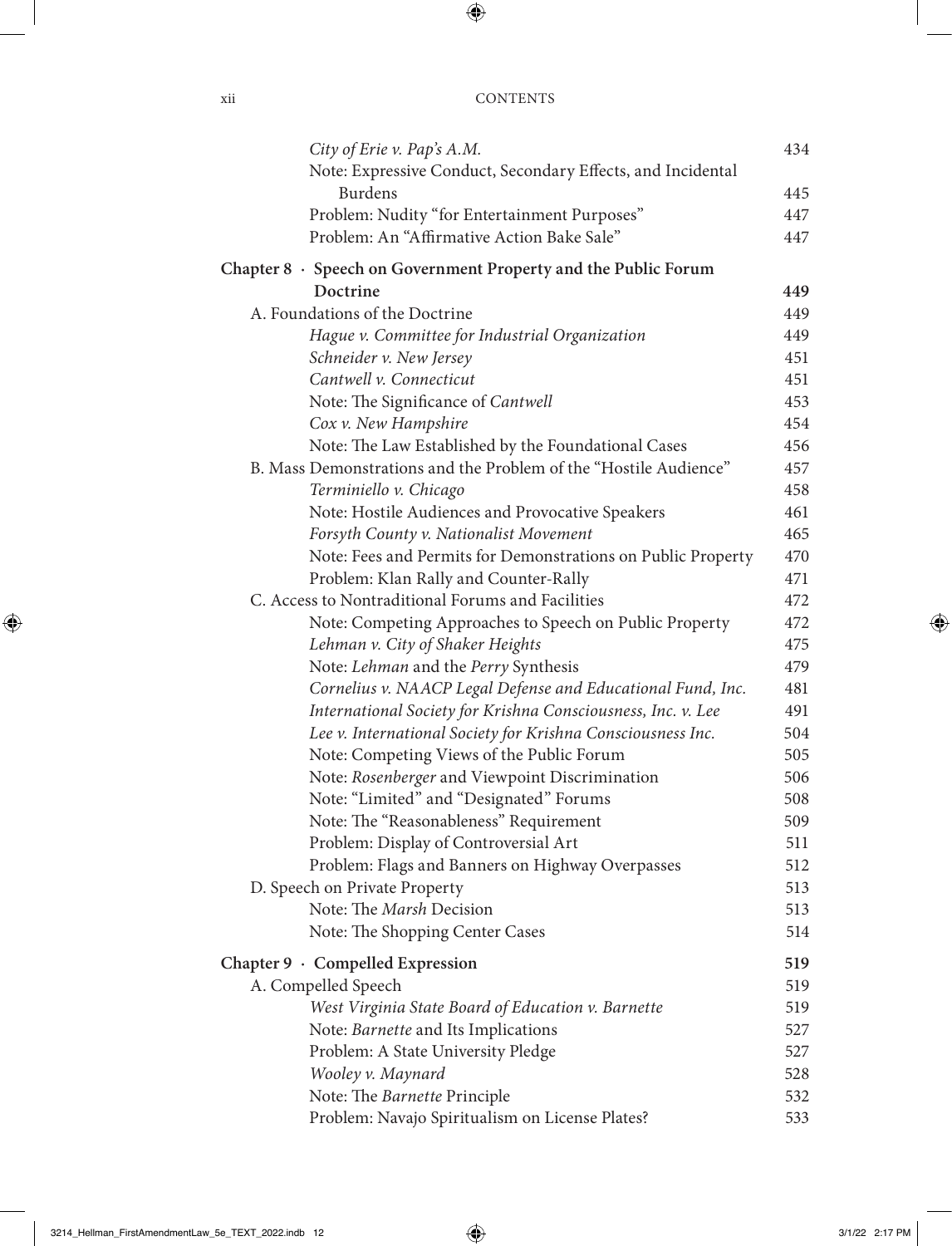| X11 | <b>CONTENTS</b> |
|-----|-----------------|
|     |                 |

| City of Erie v. Pap's A.M.                                           | 434 |
|----------------------------------------------------------------------|-----|
| Note: Expressive Conduct, Secondary Effects, and Incidental          |     |
| <b>Burdens</b>                                                       | 445 |
| Problem: Nudity "for Entertainment Purposes"                         | 447 |
| Problem: An "Affirmative Action Bake Sale"                           | 447 |
| Chapter $8 \cdot$ Speech on Government Property and the Public Forum |     |
| Doctrine                                                             | 449 |
| A. Foundations of the Doctrine                                       | 449 |
| Hague v. Committee for Industrial Organization                       | 449 |
| Schneider v. New Jersey                                              | 451 |
| Cantwell v. Connecticut                                              | 451 |
| Note: The Significance of Cantwell                                   | 453 |
| Cox v. New Hampshire                                                 | 454 |
| Note: The Law Established by the Foundational Cases                  | 456 |
| B. Mass Demonstrations and the Problem of the "Hostile Audience"     | 457 |
| Terminiello v. Chicago                                               | 458 |
| Note: Hostile Audiences and Provocative Speakers                     | 461 |
| Forsyth County v. Nationalist Movement                               | 465 |
| Note: Fees and Permits for Demonstrations on Public Property         | 470 |
| Problem: Klan Rally and Counter-Rally                                | 471 |
| C. Access to Nontraditional Forums and Facilities                    | 472 |
| Note: Competing Approaches to Speech on Public Property              | 472 |
| Lehman v. City of Shaker Heights                                     | 475 |
| Note: Lehman and the Perry Synthesis                                 | 479 |
| Cornelius v. NAACP Legal Defense and Educational Fund, Inc.          | 481 |
| International Society for Krishna Consciousness, Inc. v. Lee         | 491 |
| Lee v. International Society for Krishna Consciousness Inc.          | 504 |
| Note: Competing Views of the Public Forum                            | 505 |
| Note: Rosenberger and Viewpoint Discrimination                       | 506 |
| Note: "Limited" and "Designated" Forums                              | 508 |
| Note: The "Reasonableness" Requirement                               | 509 |
| Problem: Display of Controversial Art                                | 511 |
| Problem: Flags and Banners on Highway Overpasses                     | 512 |
| D. Speech on Private Property                                        | 513 |
| Note: The Marsh Decision                                             | 513 |
| Note: The Shopping Center Cases                                      | 514 |
| Chapter $9 \cdot$ Compelled Expression                               | 519 |
| A. Compelled Speech                                                  | 519 |
| West Virginia State Board of Education v. Barnette                   | 519 |
| Note: Barnette and Its Implications                                  | 527 |
| Problem: A State University Pledge                                   | 527 |
| Wooley v. Maynard                                                    | 528 |
| Note: The Barnette Principle                                         | 532 |
| Problem: Navajo Spiritualism on License Plates?                      | 533 |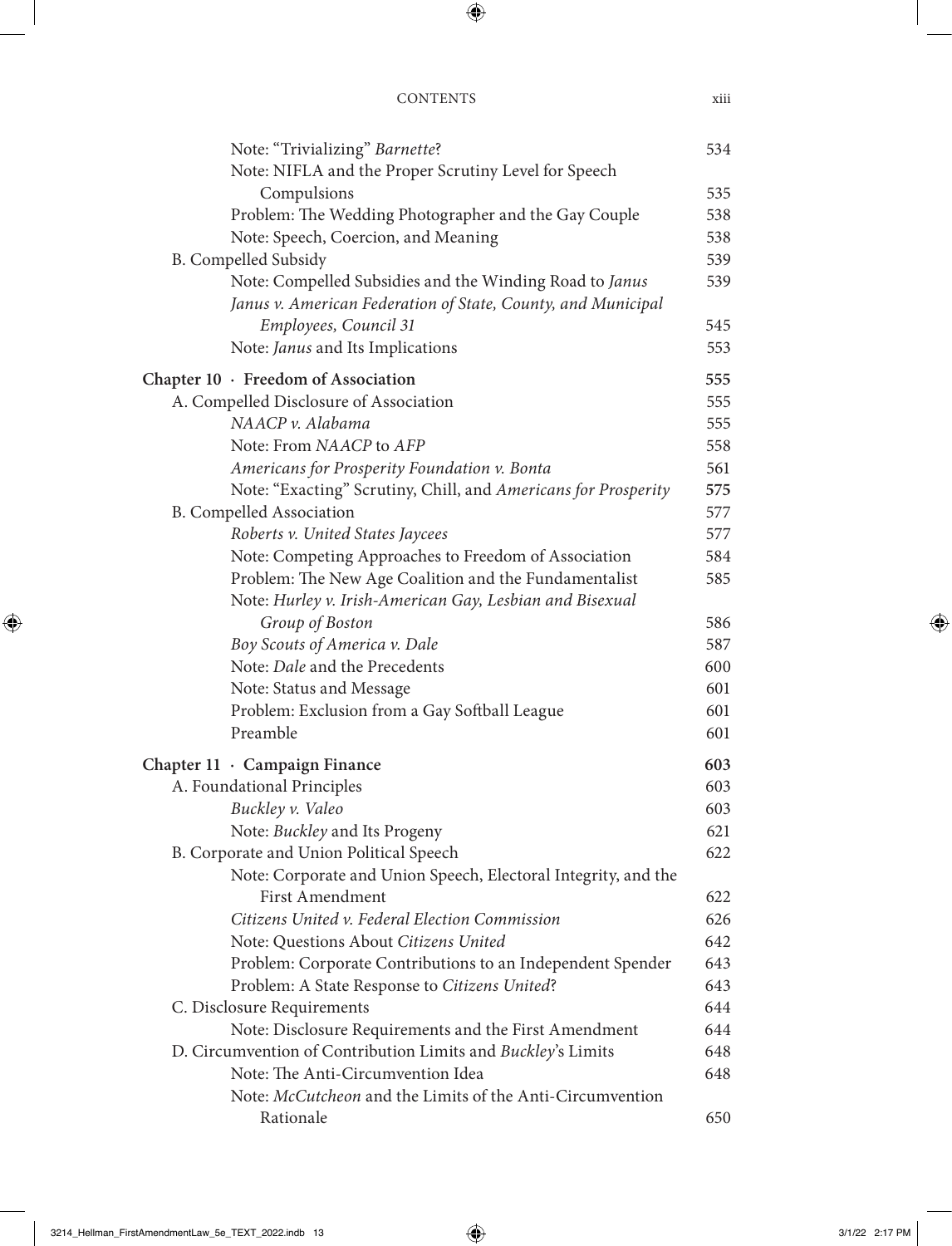| Note: "Trivializing" Barnette?                                 | 534 |
|----------------------------------------------------------------|-----|
| Note: NIFLA and the Proper Scrutiny Level for Speech           |     |
| Compulsions                                                    | 535 |
| Problem: The Wedding Photographer and the Gay Couple           | 538 |
| Note: Speech, Coercion, and Meaning                            | 538 |
| <b>B.</b> Compelled Subsidy                                    | 539 |
| Note: Compelled Subsidies and the Winding Road to Janus        | 539 |
| Janus v. American Federation of State, County, and Municipal   |     |
| Employees, Council 31                                          | 545 |
| Note: Janus and Its Implications                               | 553 |
| Chapter 10 · Freedom of Association                            | 555 |
| A. Compelled Disclosure of Association                         | 555 |
| NAACP v. Alabama                                               | 555 |
| Note: From NAACP to AFP                                        | 558 |
| Americans for Prosperity Foundation v. Bonta                   | 561 |
| Note: "Exacting" Scrutiny, Chill, and Americans for Prosperity | 575 |
| <b>B.</b> Compelled Association                                | 577 |
| Roberts v. United States Jaycees                               | 577 |
| Note: Competing Approaches to Freedom of Association           | 584 |
| Problem: The New Age Coalition and the Fundamentalist          | 585 |
| Note: Hurley v. Irish-American Gay, Lesbian and Bisexual       |     |
| Group of Boston                                                | 586 |
| Boy Scouts of America v. Dale                                  | 587 |
| Note: Dale and the Precedents                                  | 600 |
|                                                                | 601 |
| Note: Status and Message                                       | 601 |
| Problem: Exclusion from a Gay Softball League<br>Preamble      | 601 |
|                                                                |     |
| Chapter 11 · Campaign Finance                                  | 603 |
| A. Foundational Principles                                     | 603 |
| Buckley v. Valeo                                               | 603 |
| Note: Buckley and Its Progeny                                  | 621 |
| B. Corporate and Union Political Speech                        | 622 |
| Note: Corporate and Union Speech, Electoral Integrity, and the |     |
| <b>First Amendment</b>                                         | 622 |
| Citizens United v. Federal Election Commission                 | 626 |
| Note: Questions About Citizens United                          | 642 |
| Problem: Corporate Contributions to an Independent Spender     | 643 |
| Problem: A State Response to Citizens United?                  | 643 |
| C. Disclosure Requirements                                     | 644 |
| Note: Disclosure Requirements and the First Amendment          | 644 |
| D. Circumvention of Contribution Limits and Buckley's Limits   | 648 |
| Note: The Anti-Circumvention Idea                              | 648 |
| Note: McCutcheon and the Limits of the Anti-Circumvention      |     |
| Rationale                                                      | 650 |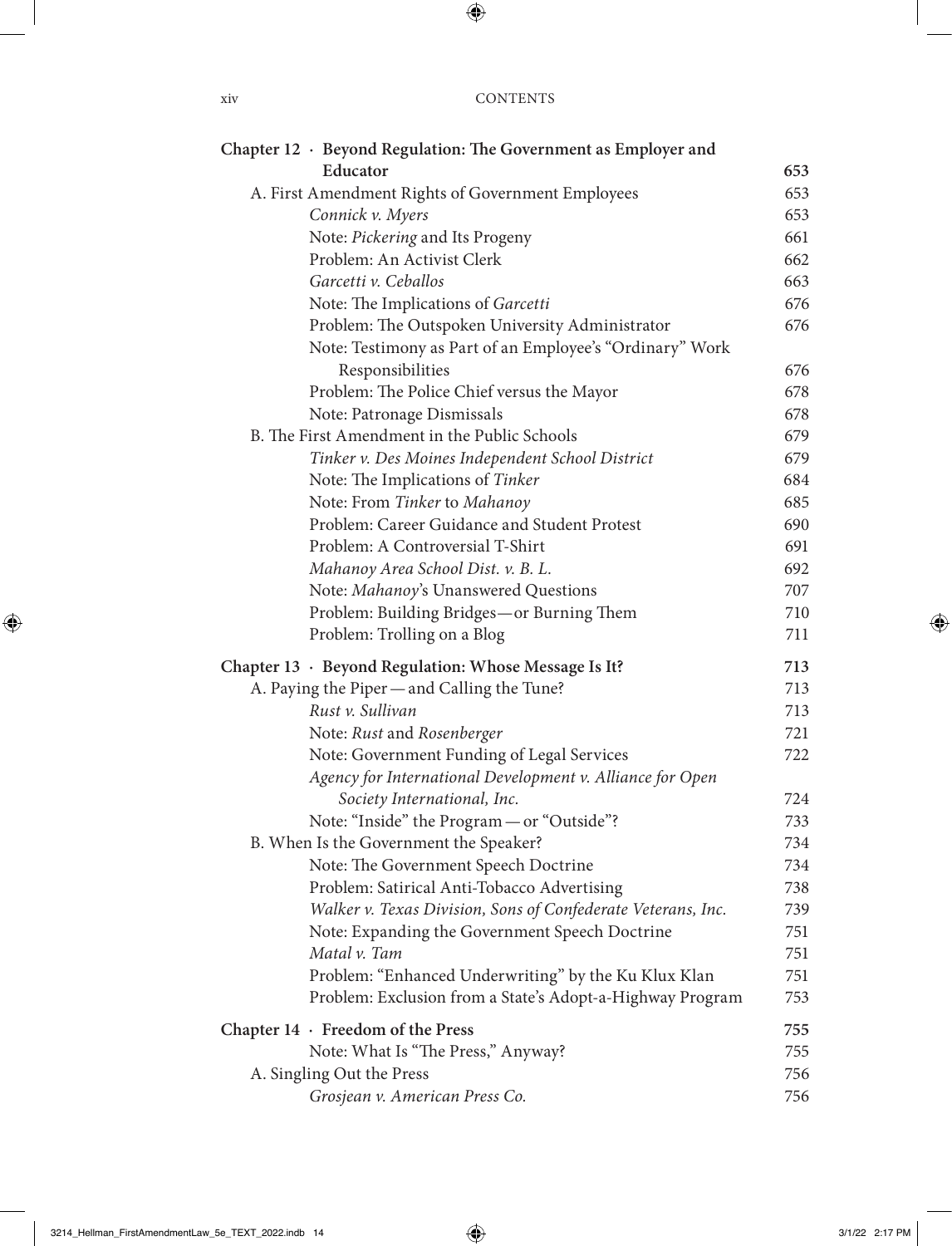| X1V | <b>CONTENTS</b> |
|-----|-----------------|
|     |                 |

| Chapter 12 · Beyond Regulation: The Government as Employer and |     |
|----------------------------------------------------------------|-----|
| Educator                                                       | 653 |
| A. First Amendment Rights of Government Employees              | 653 |
| Connick v. Myers                                               | 653 |
| Note: Pickering and Its Progeny                                | 661 |
| Problem: An Activist Clerk                                     | 662 |
| Garcetti v. Ceballos                                           | 663 |
| Note: The Implications of Garcetti                             | 676 |
| Problem: The Outspoken University Administrator                | 676 |
| Note: Testimony as Part of an Employee's "Ordinary" Work       |     |
| Responsibilities                                               | 676 |
| Problem: The Police Chief versus the Mayor                     | 678 |
| Note: Patronage Dismissals                                     | 678 |
| B. The First Amendment in the Public Schools                   | 679 |
| Tinker v. Des Moines Independent School District               | 679 |
| Note: The Implications of Tinker                               | 684 |
| Note: From Tinker to Mahanoy                                   | 685 |
| Problem: Career Guidance and Student Protest                   | 690 |
| Problem: A Controversial T-Shirt                               | 691 |
| Mahanoy Area School Dist. v. B. L.                             | 692 |
| Note: Mahanoy's Unanswered Questions                           | 707 |
| Problem: Building Bridges-or Burning Them                      | 710 |
| Problem: Trolling on a Blog                                    | 711 |
| Chapter 13 · Beyond Regulation: Whose Message Is It?           | 713 |
| A. Paying the Piper - and Calling the Tune?                    | 713 |
| Rust v. Sullivan                                               | 713 |
| Note: Rust and Rosenberger                                     | 721 |
| Note: Government Funding of Legal Services                     | 722 |
| Agency for International Development v. Alliance for Open      |     |
| Society International, Inc.                                    | 724 |
| Note: "Inside" the Program - or "Outside"?                     | 733 |
| B. When Is the Government the Speaker?                         | 734 |
| Note: The Government Speech Doctrine                           | 734 |
| Problem: Satirical Anti-Tobacco Advertising                    | 738 |
| Walker v. Texas Division, Sons of Confederate Veterans, Inc.   | 739 |
| Note: Expanding the Government Speech Doctrine                 | 751 |
| Matal v. Tam                                                   | 751 |
| Problem: "Enhanced Underwriting" by the Ku Klux Klan           | 751 |
| Problem: Exclusion from a State's Adopt-a-Highway Program      | 753 |
| Chapter $14$ $\cdot$ Freedom of the Press                      | 755 |
| Note: What Is "The Press," Anyway?                             | 755 |
| A. Singling Out the Press                                      | 756 |
| Grosjean v. American Press Co.                                 | 756 |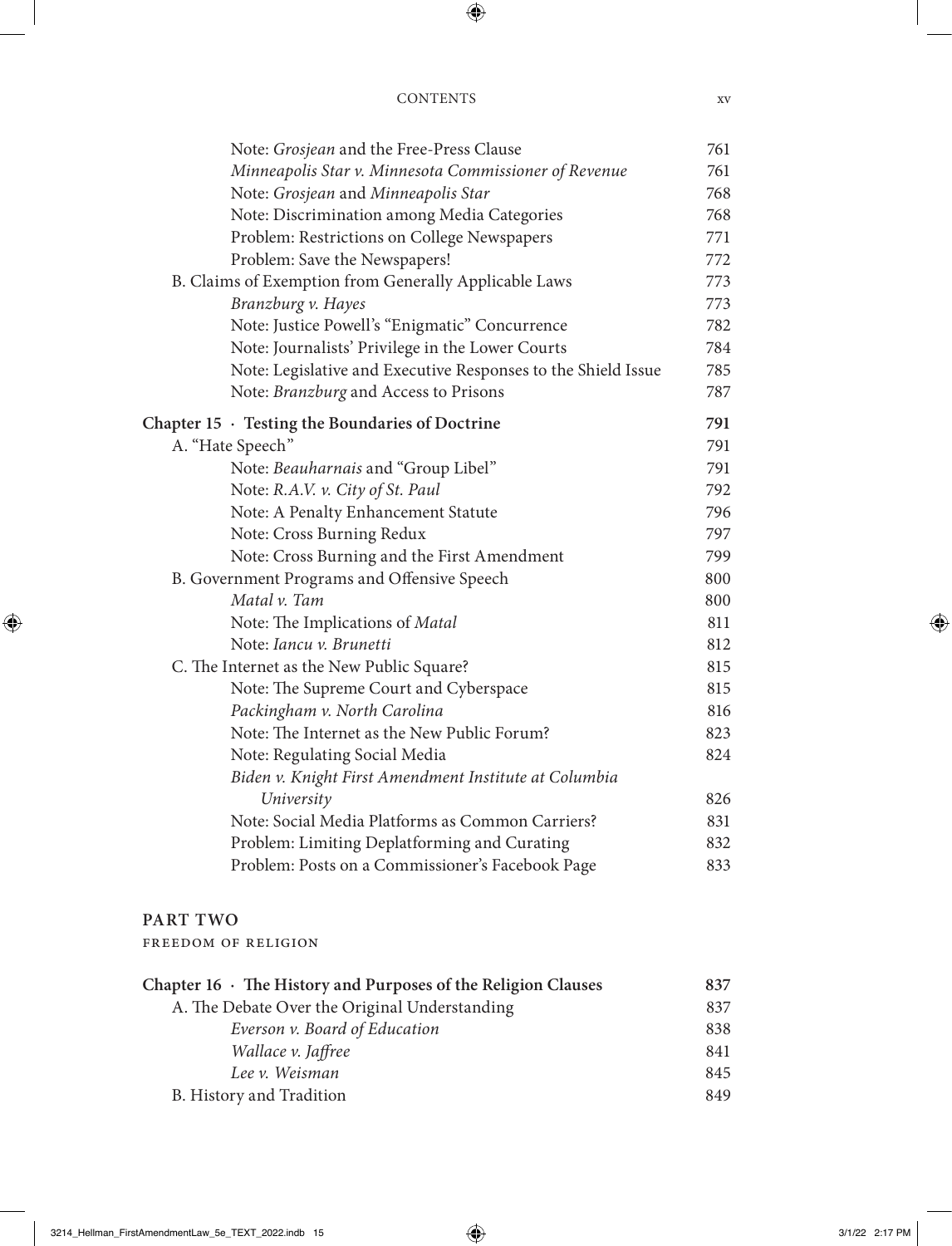| Note: Grosjean and the Free-Press Clause                      | 761 |
|---------------------------------------------------------------|-----|
| Minneapolis Star v. Minnesota Commissioner of Revenue         | 761 |
| Note: Grosjean and Minneapolis Star                           | 768 |
| Note: Discrimination among Media Categories                   | 768 |
| Problem: Restrictions on College Newspapers                   | 771 |
| Problem: Save the Newspapers!                                 | 772 |
| B. Claims of Exemption from Generally Applicable Laws         | 773 |
| Branzburg v. Hayes                                            | 773 |
| Note: Justice Powell's "Enigmatic" Concurrence                | 782 |
| Note: Journalists' Privilege in the Lower Courts              | 784 |
| Note: Legislative and Executive Responses to the Shield Issue | 785 |
| Note: Branzburg and Access to Prisons                         | 787 |
| Chapter 15 · Testing the Boundaries of Doctrine               | 791 |
| A. "Hate Speech"                                              | 791 |
| Note: Beauharnais and "Group Libel"                           | 791 |
| Note: R.A.V. v. City of St. Paul                              | 792 |
| Note: A Penalty Enhancement Statute                           | 796 |
| Note: Cross Burning Redux                                     | 797 |
| Note: Cross Burning and the First Amendment                   | 799 |
| B. Government Programs and Offensive Speech                   | 800 |
| Matal v. Tam                                                  | 800 |
| Note: The Implications of Matal                               | 811 |
| Note: Iancu v. Brunetti                                       | 812 |
| C. The Internet as the New Public Square?                     | 815 |
| Note: The Supreme Court and Cyberspace                        | 815 |
| Packingham v. North Carolina                                  | 816 |
| Note: The Internet as the New Public Forum?                   | 823 |
| Note: Regulating Social Media                                 | 824 |
| Biden v. Knight First Amendment Institute at Columbia         |     |
| University                                                    | 826 |
| Note: Social Media Platforms as Common Carriers?              | 831 |
| Problem: Limiting Deplatforming and Curating                  | 832 |
| Problem: Posts on a Commissioner's Facebook Page              | 833 |

#### **PART TWO**

freedom of religion

| Chapter $16 \cdot$ The History and Purposes of the Religion Clauses | 837 |
|---------------------------------------------------------------------|-----|
| A. The Debate Over the Original Understanding                       | 837 |
| Everson v. Board of Education                                       | 838 |
| Wallace v. Jaffree                                                  | 841 |
| Lee v. Weisman                                                      | 845 |
| B. History and Tradition                                            | 849 |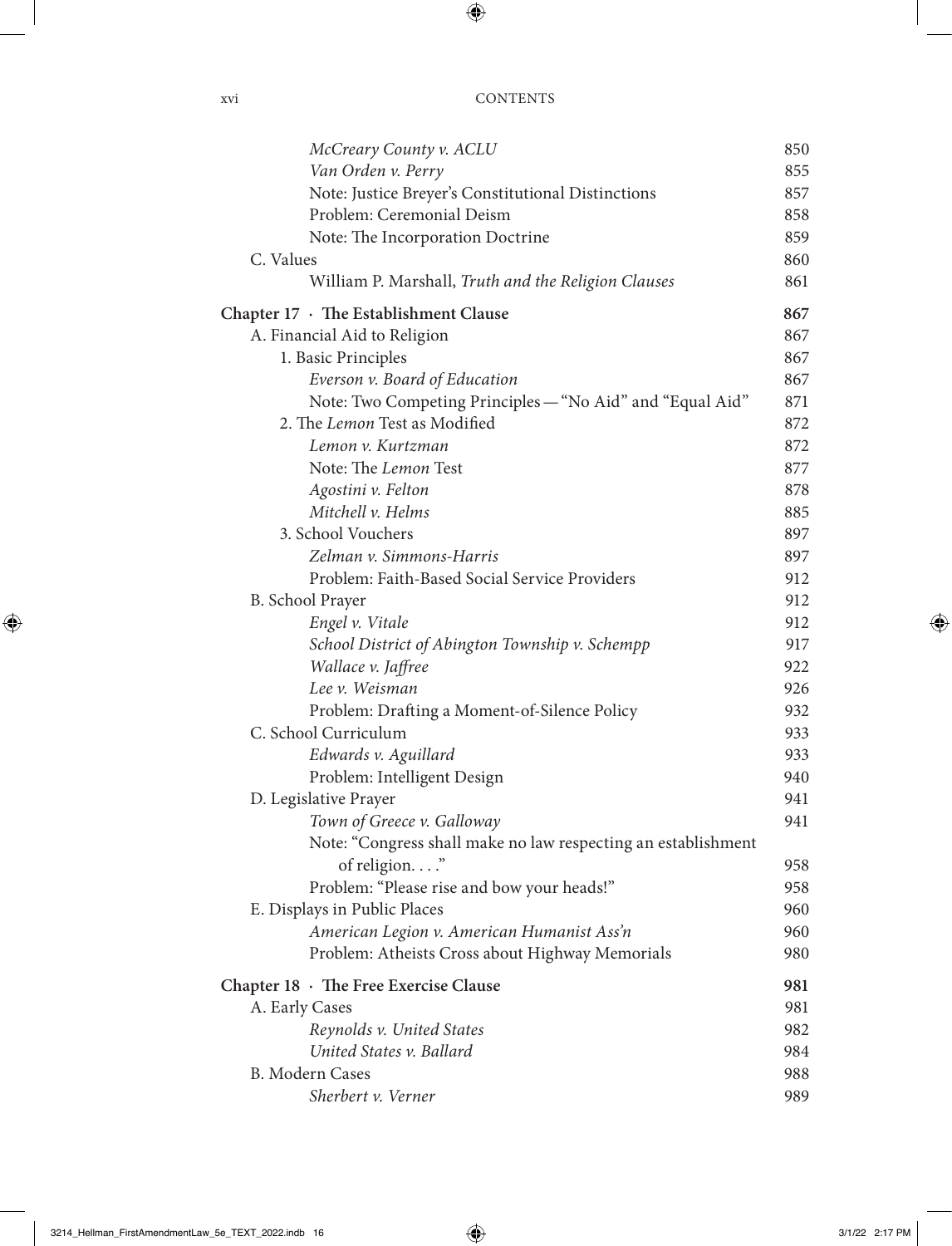| McCreary County v. ACLU                                                    | 850 |
|----------------------------------------------------------------------------|-----|
| Van Orden v. Perry                                                         | 855 |
| Note: Justice Breyer's Constitutional Distinctions                         | 857 |
| Problem: Ceremonial Deism                                                  | 858 |
| Note: The Incorporation Doctrine                                           | 859 |
| C. Values                                                                  | 860 |
| William P. Marshall, Truth and the Religion Clauses                        | 861 |
| Chapter 17 · The Establishment Clause                                      | 867 |
| A. Financial Aid to Religion                                               | 867 |
| 1. Basic Principles                                                        | 867 |
| Everson v. Board of Education                                              | 867 |
| Note: Two Competing Principles - "No Aid" and "Equal Aid"                  | 871 |
| 2. The Lemon Test as Modified                                              | 872 |
| Lemon v. Kurtzman                                                          | 872 |
| Note: The Lemon Test                                                       | 877 |
| Agostini v. Felton                                                         | 878 |
| Mitchell v. Helms                                                          | 885 |
| 3. School Vouchers                                                         | 897 |
| Zelman v. Simmons-Harris                                                   | 897 |
| Problem: Faith-Based Social Service Providers                              | 912 |
| B. School Prayer                                                           | 912 |
| Engel v. Vitale                                                            | 912 |
| School District of Abington Township v. Schempp                            | 917 |
| Wallace v. Jaffree                                                         | 922 |
| Lee v. Weisman                                                             | 926 |
| Problem: Drafting a Moment-of-Silence Policy                               | 932 |
| C. School Curriculum                                                       | 933 |
| Edwards v. Aguillard                                                       | 933 |
| Problem: Intelligent Design                                                | 940 |
| D. Legislative Prayer                                                      | 941 |
| Town of Greece v. Galloway                                                 | 941 |
| Note: "Congress shall make no law respecting an establishment              | 958 |
| of religion."                                                              | 958 |
| Problem: "Please rise and bow your heads!"<br>E. Displays in Public Places | 960 |
|                                                                            |     |
| American Legion v. American Humanist Ass'n                                 | 960 |
| Problem: Atheists Cross about Highway Memorials                            | 980 |
| Chapter 18 · The Free Exercise Clause                                      | 981 |
| A. Early Cases                                                             | 981 |
| Reynolds v. United States                                                  | 982 |
| United States v. Ballard                                                   | 984 |
| <b>B.</b> Modern Cases                                                     | 988 |
| Sherbert v. Verner                                                         | 989 |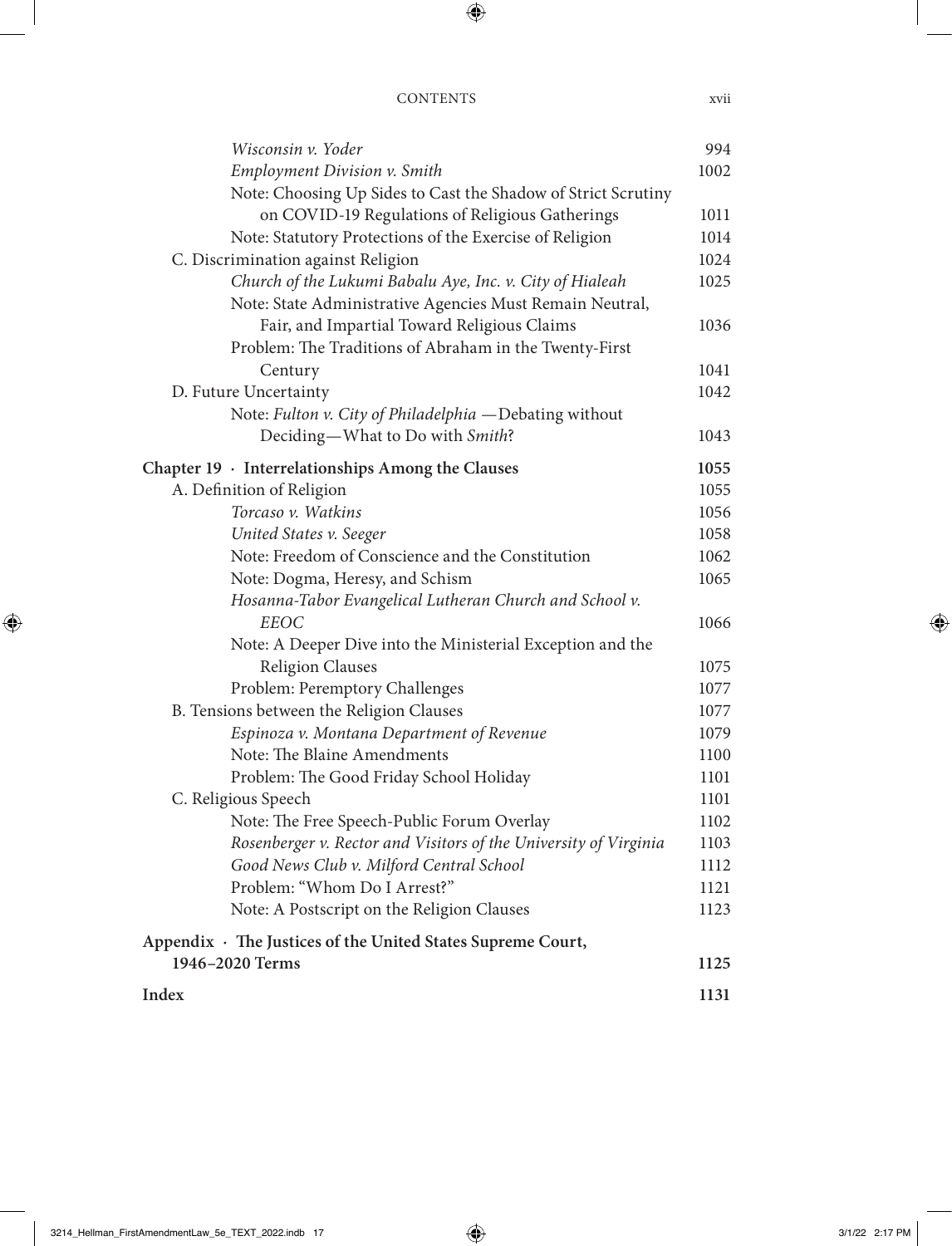| Wisconsin v. Yoder                                               | 994  |
|------------------------------------------------------------------|------|
| <b>Employment Division v. Smith</b>                              | 1002 |
| Note: Choosing Up Sides to Cast the Shadow of Strict Scrutiny    |      |
| on COVID-19 Regulations of Religious Gatherings                  | 1011 |
| Note: Statutory Protections of the Exercise of Religion          | 1014 |
| C. Discrimination against Religion                               | 1024 |
| Church of the Lukumi Babalu Aye, Inc. v. City of Hialeah         | 1025 |
| Note: State Administrative Agencies Must Remain Neutral,         |      |
| Fair, and Impartial Toward Religious Claims                      | 1036 |
| Problem: The Traditions of Abraham in the Twenty-First           |      |
| Century                                                          | 1041 |
| D. Future Uncertainty                                            | 1042 |
| Note: Fulton v. City of Philadelphia - Debating without          |      |
| Deciding-What to Do with Smith?                                  | 1043 |
| Chapter 19 · Interrelationships Among the Clauses                | 1055 |
| A. Definition of Religion                                        | 1055 |
| Torcaso v. Watkins                                               | 1056 |
| United States v. Seeger                                          | 1058 |
| Note: Freedom of Conscience and the Constitution                 | 1062 |
| Note: Dogma, Heresy, and Schism                                  | 1065 |
| Hosanna-Tabor Evangelical Lutheran Church and School v.          |      |
| <b>EEOC</b>                                                      | 1066 |
| Note: A Deeper Dive into the Ministerial Exception and the       |      |
| <b>Religion Clauses</b>                                          | 1075 |
| Problem: Peremptory Challenges                                   | 1077 |
| B. Tensions between the Religion Clauses                         | 1077 |
| Espinoza v. Montana Department of Revenue                        | 1079 |
| Note: The Blaine Amendments                                      | 1100 |
| Problem: The Good Friday School Holiday                          | 1101 |
| C. Religious Speech                                              | 1101 |
| Note: The Free Speech-Public Forum Overlay                       | 1102 |
| Rosenberger v. Rector and Visitors of the University of Virginia | 1103 |
| Good News Club v. Milford Central School                         | 1112 |
| Problem: "Whom Do I Arrest?"                                     | 1121 |
| Note: A Postscript on the Religion Clauses                       | 1123 |
| Appendix · The Justices of the United States Supreme Court,      |      |
| 1946-2020 Terms                                                  | 1125 |
| Index                                                            | 1131 |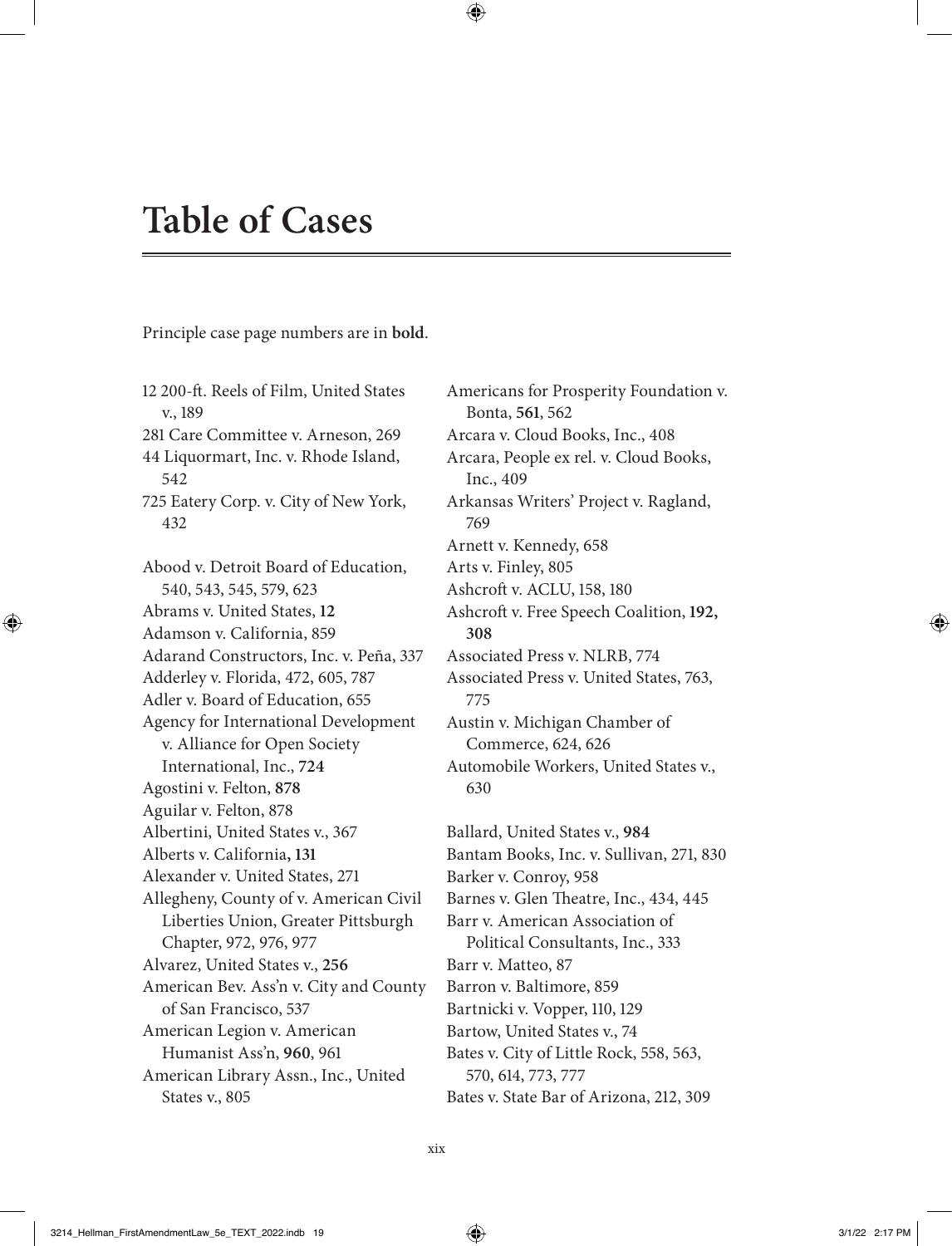### **Table of Cases**

Principle case page numbers are in **bold**.

12 200-ft. Reels of Film, United States v., 189 281 Care Committee v. Arneson, 269 44 Liquormart, Inc. v. Rhode Island, 542 725 Eatery Corp. v. City of New York, 432 Abood v. Detroit Board of Education, 540, 543, 545, 579, 623 Abrams v. United States, **12** Adamson v. California, 859 Adarand Constructors, Inc. v. Peña, 337 Adderley v. Florida, 472, 605, 787 Adler v. Board of Education, 655 Agency for International Development v. Alliance for Open Society International, Inc., **724** Agostini v. Felton, **878** Aguilar v. Felton, 878 Albertini, United States v., 367 Alberts v. California**, 131** Alexander v. United States, 271 Allegheny, County of v. American Civil Liberties Union, Greater Pittsburgh Chapter, 972, 976, 977 Alvarez, United States v., **256** American Bev. Ass'n v. City and County of San Francisco, 537 American Legion v. American Humanist Ass'n, **960**, 961 American Library Assn., Inc., United States v., 805

Americans for Prosperity Foundation v. Bonta, **561**, 562 Arcara v. Cloud Books, Inc., 408 Arcara, People ex rel. v. Cloud Books, Inc., 409 Arkansas Writers' Project v. Ragland, 769 Arnett v. Kennedy, 658 Arts v. Finley, 805 Ashcroft v. ACLU, 158, 180 Ashcroft v. Free Speech Coalition, **192, 308** Associated Press v. NLRB, 774 Associated Press v. United States, 763, 775 Austin v. Michigan Chamber of Commerce, 624, 626 Automobile Workers, United States v., 630 Ballard, United States v., **984** Bantam Books, Inc. v. Sullivan, 271, 830 Barker v. Conroy, 958 Barnes v. Glen Theatre, Inc., 434, 445 Barr v. American Association of Political Consultants, Inc., 333

Barr v. Matteo, 87 Barron v. Baltimore, 859 Bartnicki v. Vopper, 110, 129 Bartow, United States v., 74 Bates v. City of Little Rock, 558, 563, 570, 614, 773, 777

Bates v. State Bar of Arizona, 212, 309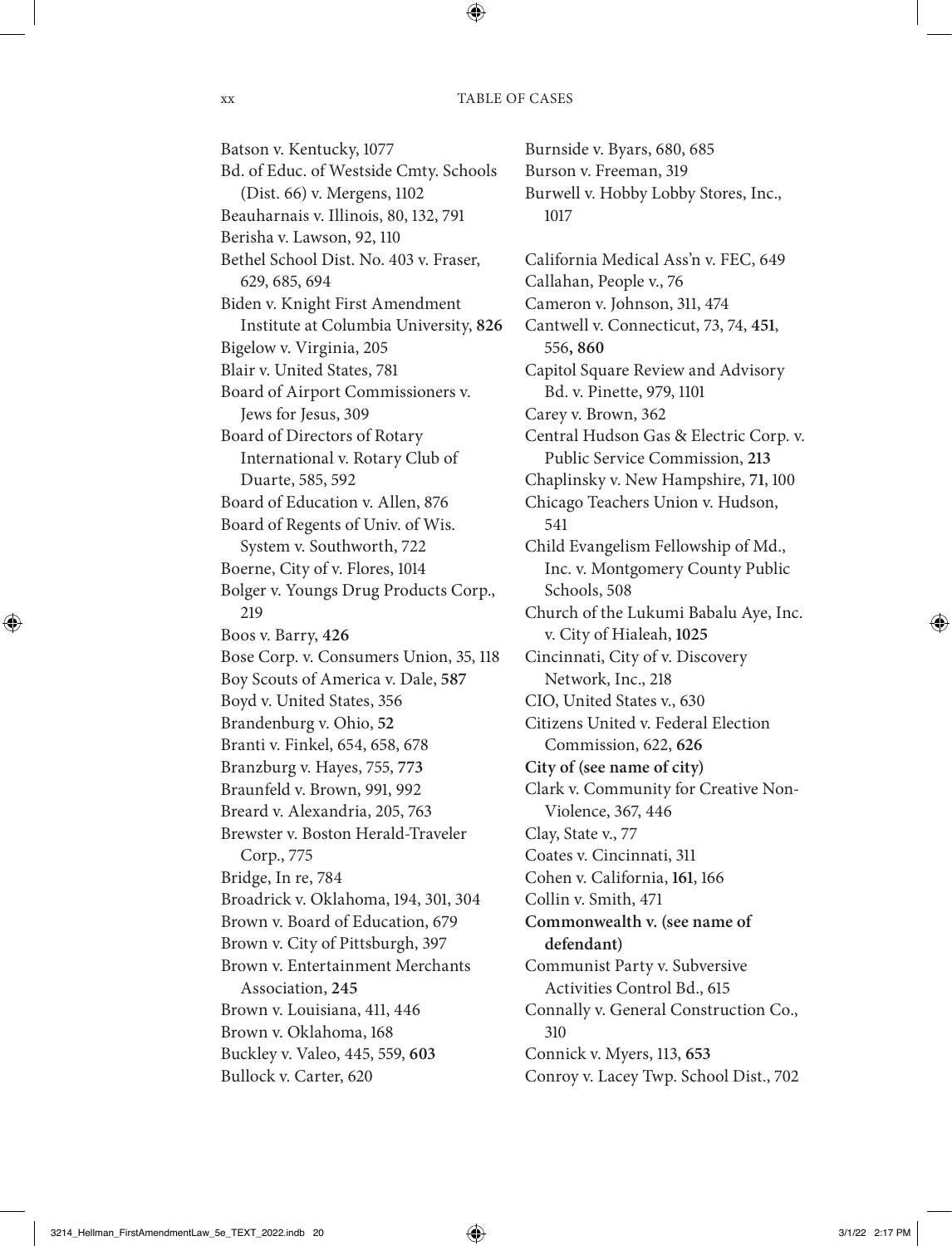Batson v. Kentucky, 1077 Bd. of Educ. of Westside Cmty. Schools (Dist. 66) v. Mergens, 1102 Beauharnais v. Illinois, 80, 132, 791 Berisha v. Lawson, 92, 110 Bethel School Dist. No. 403 v. Fraser, 629, 685, 694 Biden v. Knight First Amendment Institute at Columbia University, **826** Bigelow v. Virginia, 205 Blair v. United States, 781 Board of Airport Commissioners v. Jews for Jesus, 309 Board of Directors of Rotary International v. Rotary Club of Duarte, 585, 592 Board of Education v. Allen, 876 Board of Regents of Univ. of Wis. System v. Southworth, 722 Boerne, City of v. Flores, 1014 Bolger v. Youngs Drug Products Corp., 219 Boos v. Barry, **426** Bose Corp. v. Consumers Union, 35, 118 Boy Scouts of America v. Dale, **587** Boyd v. United States, 356 Brandenburg v. Ohio, **52** Branti v. Finkel, 654, 658, 678 Branzburg v. Hayes, 755, **773** Braunfeld v. Brown, 991, 992 Breard v. Alexandria, 205, 763 Brewster v. Boston Herald-Traveler Corp., 775 Bridge, In re, 784 Broadrick v. Oklahoma, 194, 301, 304 Brown v. Board of Education, 679 Brown v. City of Pittsburgh, 397 Brown v. Entertainment Merchants Association, **245** Brown v. Louisiana, 411, 446 Brown v. Oklahoma, 168 Buckley v. Valeo, 445, 559, **603** Bullock v. Carter, 620

Burnside v. Byars, 680, 685 Burson v. Freeman, 319 Burwell v. Hobby Lobby Stores, Inc., 1017 California Medical Ass'n v. FEC, 649 Callahan, People v., 76 Cameron v. Johnson, 311, 474 Cantwell v. Connecticut, 73, 74, **451**, 556**, 860** Capitol Square Review and Advisory Bd. v. Pinette, 979, 1101 Carey v. Brown, 362 Central Hudson Gas & Electric Corp. v. Public Service Commission, **213** Chaplinsky v. New Hampshire, **71**, 100 Chicago Teachers Union v. Hudson, 541 Child Evangelism Fellowship of Md., Inc. v. Montgomery County Public Schools, 508 Church of the Lukumi Babalu Aye, Inc. v. City of Hialeah, **1025** Cincinnati, City of v. Discovery Network, Inc., 218 CIO, United States v., 630 Citizens United v. Federal Election Commission, 622, **626 City of (see name of city)** Clark v. Community for Creative Non-Violence, 367, 446 Clay, State v., 77 Coates v. Cincinnati, 311 Cohen v. California, **161**, 166 Collin v. Smith, 471 **Commonwealth v. (see name of defendant)** Communist Party v. Subversive Activities Control Bd., 615 Connally v. General Construction Co., 310 Connick v. Myers, 113, **653** Conroy v. Lacey Twp. School Dist., 702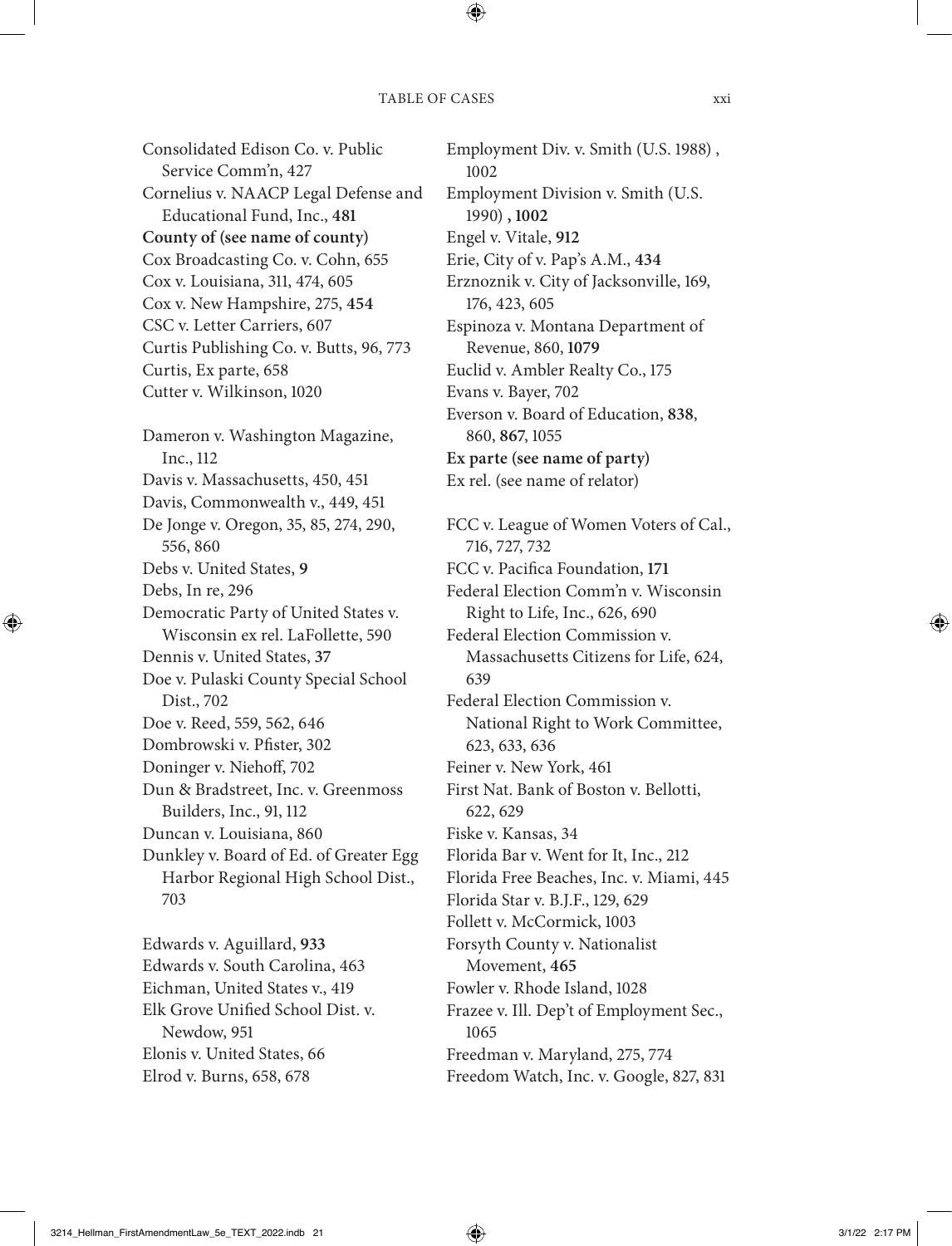Consolidated Edison Co. v. Public Service Comm'n, 427 Cornelius v. NAACP Legal Defense and Educational Fund, Inc., **481 County of (see name of county)** Cox Broadcasting Co. v. Cohn, 655 Cox v. Louisiana, 311, 474, 605 Cox v. New Hampshire, 275, **454** CSC v. Letter Carriers, 607 Curtis Publishing Co. v. Butts, 96, 773 Curtis, Ex parte, 658 Cutter v. Wilkinson, 1020 Dameron v. Washington Magazine, Inc., 112 Davis v. Massachusetts, 450, 451 Davis, Commonwealth v., 449, 451 De Jonge v. Oregon, 35, 85, 274, 290, 556, 860 Debs v. United States, **9** Debs, In re, 296 Democratic Party of United States v. Wisconsin ex rel. LaFollette, 590 Dennis v. United States, **37** Doe v. Pulaski County Special School Dist., 702 Doe v. Reed, 559, 562, 646 Dombrowski v. Pfister, 302 Doninger v. Niehoff, 702 Dun & Bradstreet, Inc. v. Greenmoss Builders, Inc., 91, 112 Duncan v. Louisiana, 860 Dunkley v. Board of Ed. of Greater Egg Harbor Regional High School Dist., 703 Edwards v. Aguillard, **933** Edwards v. South Carolina, 463 Eichman, United States v., 419 Elk Grove Unified School Dist. v. Newdow, 951

Elonis v. United States, 66 Elrod v. Burns, 658, 678

Employment Div. v. Smith (U.S. 1988) , 1002 Employment Division v. Smith (U.S. 1990) **, 1002** Engel v. Vitale, **912** Erie, City of v. Pap's A.M., **434** Erznoznik v. City of Jacksonville, 169, 176, 423, 605 Espinoza v. Montana Department of Revenue, 860, **1079** Euclid v. Ambler Realty Co., 175 Evans v. Bayer, 702 Everson v. Board of Education, **838**, 860, **867**, 1055 **Ex parte (see name of party)** Ex rel. (see name of relator) FCC v. League of Women Voters of Cal.,

716, 727, 732 FCC v. Pacifica Foundation, **171** Federal Election Comm'n v. Wisconsin Right to Life, Inc., 626, 690 Federal Election Commission v. Massachusetts Citizens for Life, 624, 639 Federal Election Commission v. National Right to Work Committee, 623, 633, 636 Feiner v. New York, 461 First Nat. Bank of Boston v. Bellotti, 622, 629 Fiske v. Kansas, 34 Florida Bar v. Went for It, Inc., 212 Florida Free Beaches, Inc. v. Miami, 445 Florida Star v. B.J.F., 129, 629 Follett v. McCormick, 1003 Forsyth County v. Nationalist Movement, **465** Fowler v. Rhode Island, 1028 Frazee v. Ill. Dep't of Employment Sec., 1065 Freedman v. Maryland, 275, 774 Freedom Watch, Inc. v. Google, 827, 831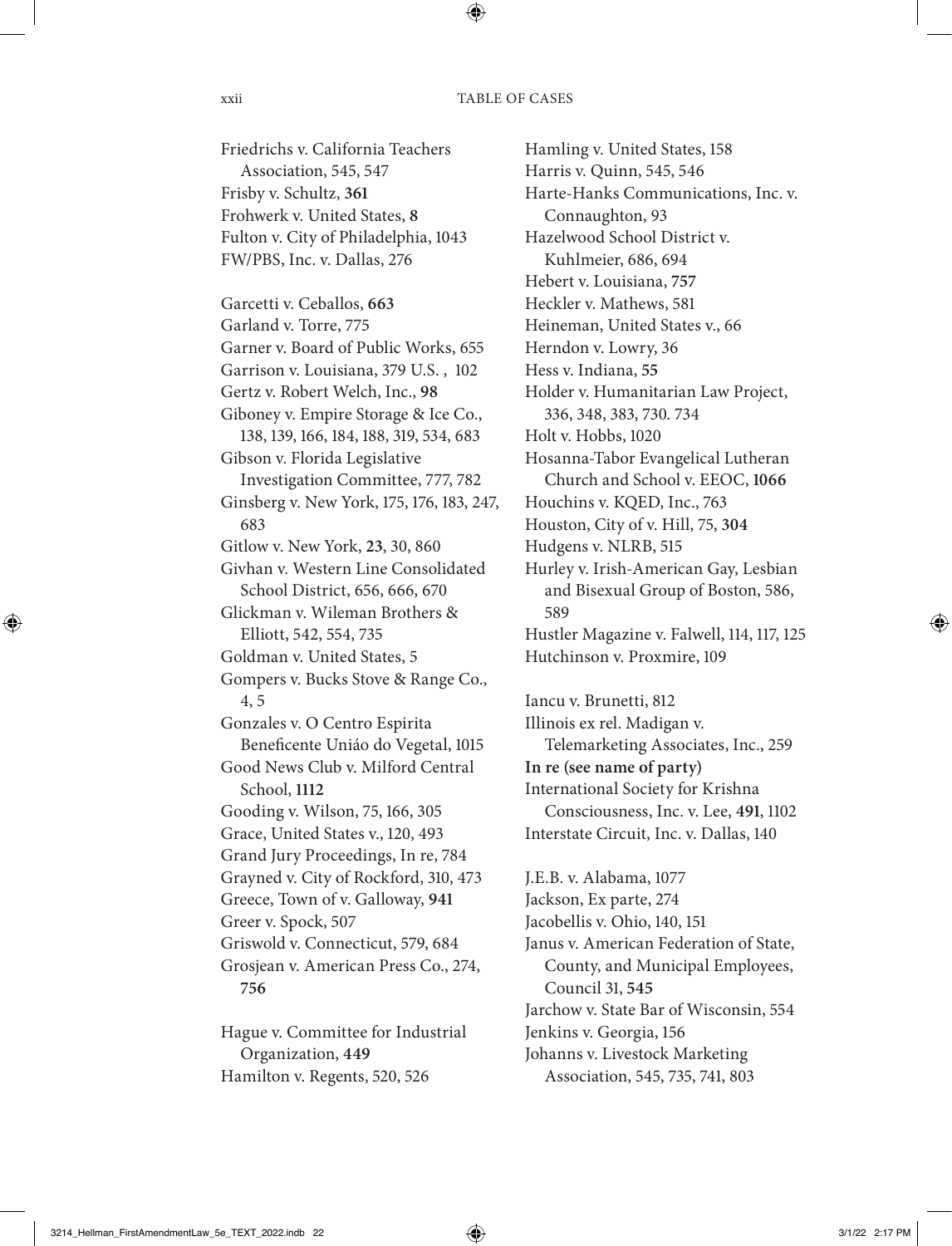Friedrichs v. California Teachers Association, 545, 547 Frisby v. Schultz, **361** Frohwerk v. United States, **8** Fulton v. City of Philadelphia, 1043 FW/PBS, Inc. v. Dallas, 276 Garcetti v. Ceballos, **663** Garland v. Torre, 775 Garner v. Board of Public Works, 655 Garrison v. Louisiana, 379 U.S. , 102 Gertz v. Robert Welch, Inc., **98** Giboney v. Empire Storage & Ice Co., 138, 139, 166, 184, 188, 319, 534, 683 Gibson v. Florida Legislative Investigation Committee, 777, 782 Ginsberg v. New York, 175, 176, 183, 247, 683 Gitlow v. New York, **23**, 30, 860 Givhan v. Western Line Consolidated School District, 656, 666, 670 Glickman v. Wileman Brothers & Elliott, 542, 554, 735 Goldman v. United States, 5 Gompers v. Bucks Stove & Range Co., 4, 5 Gonzales v. O Centro Espirita Beneficente Uniáo do Vegetal, 1015 Good News Club v. Milford Central School, **1112** Gooding v. Wilson, 75, 166, 305 Grace, United States v., 120, 493 Grand Jury Proceedings, In re, 784 Grayned v. City of Rockford, 310, 473 Greece, Town of v. Galloway, **941** Greer v. Spock, 507 Griswold v. Connecticut, 579, 684 Grosjean v. American Press Co., 274, **756**

Hague v. Committee for Industrial Organization, **449** Hamilton v. Regents, 520, 526

Hamling v. United States, 158 Harris v. Quinn, 545, 546 Harte-Hanks Communications, Inc. v. Connaughton, 93 Hazelwood School District v. Kuhlmeier, 686, 694 Hebert v. Louisiana, **757** Heckler v. Mathews, 581 Heineman, United States v., 66 Herndon v. Lowry, 36 Hess v. Indiana, **55** Holder v. Humanitarian Law Project, 336, 348, 383, 730. 734 Holt v. Hobbs, 1020 Hosanna-Tabor Evangelical Lutheran Church and School v. EEOC, **1066** Houchins v. KQED, Inc., 763 Houston, City of v. Hill, 75, **304** Hudgens v. NLRB, 515 Hurley v. Irish-American Gay, Lesbian and Bisexual Group of Boston, 586, 589 Hustler Magazine v. Falwell, 114, 117, 125 Hutchinson v. Proxmire, 109

Iancu v. Brunetti, 812 Illinois ex rel. Madigan v. Telemarketing Associates, Inc., 259 **In re (see name of party)** International Society for Krishna Consciousness, Inc. v. Lee, **491**, 1102 Interstate Circuit, Inc. v. Dallas, 140

J.E.B. v. Alabama, 1077 Jackson, Ex parte, 274 Jacobellis v. Ohio, 140, 151 Janus v. American Federation of State, County, and Municipal Employees, Council 31, **545** Jarchow v. State Bar of Wisconsin, 554 Jenkins v. Georgia, 156 Johanns v. Livestock Marketing Association, 545, 735, 741, 803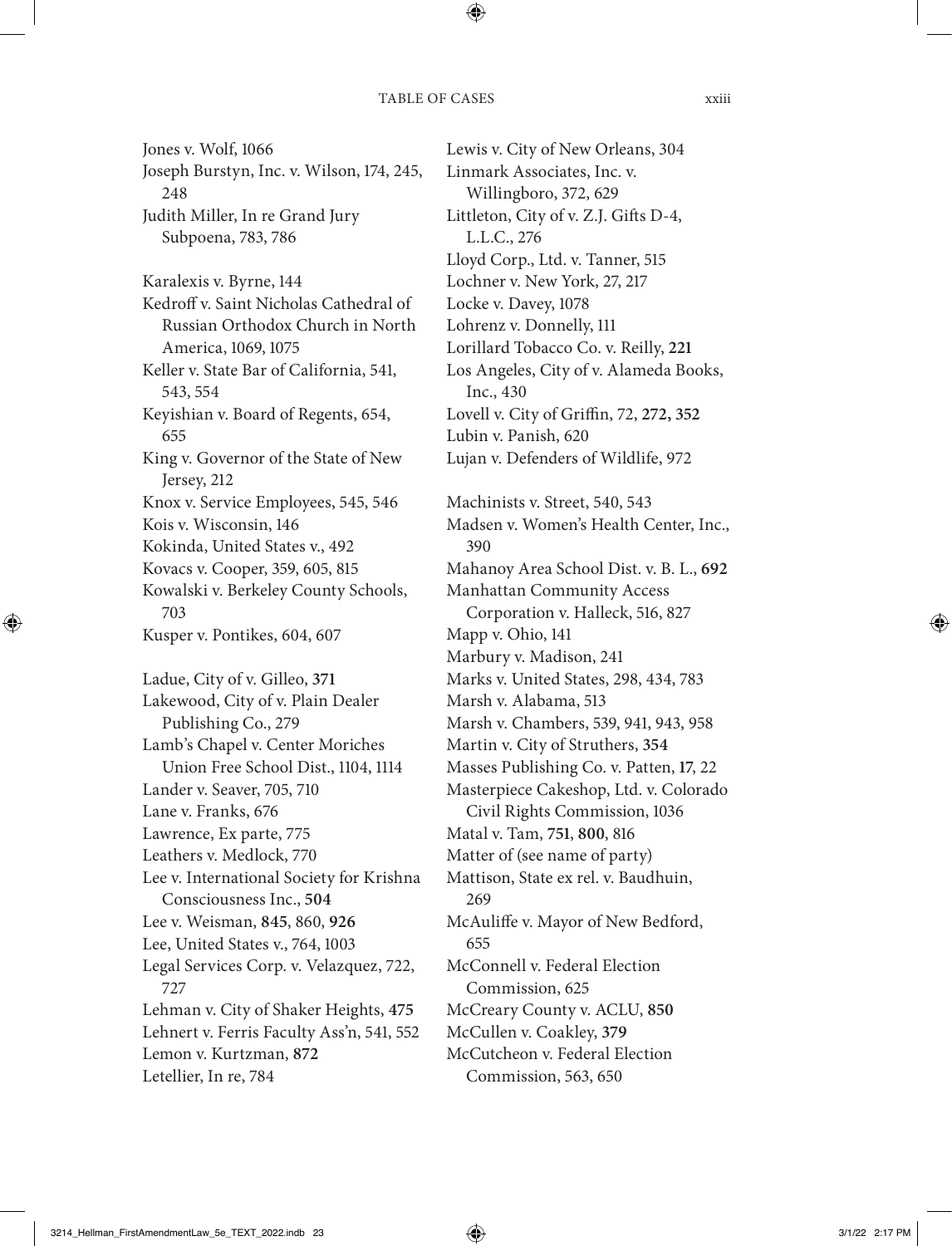Jones v. Wolf, 1066 Joseph Burstyn, Inc. v. Wilson, 174, 245, 248 Judith Miller, In re Grand Jury Subpoena, 783, 786 Karalexis v. Byrne, 144 Kedroff v. Saint Nicholas Cathedral of Russian Orthodox Church in North America, 1069, 1075 Keller v. State Bar of California, 541, 543, 554 Keyishian v. Board of Regents, 654, 655 King v. Governor of the State of New Jersey, 212 Knox v. Service Employees, 545, 546 Kois v. Wisconsin, 146 Kokinda, United States v., 492 Kovacs v. Cooper, 359, 605, 815 Kowalski v. Berkeley County Schools, 703 Kusper v. Pontikes, 604, 607 Ladue, City of v. Gilleo, **371** Lakewood, City of v. Plain Dealer Publishing Co., 279 Lamb's Chapel v. Center Moriches Union Free School Dist., 1104, 1114 Lander v. Seaver, 705, 710 Lane v. Franks, 676 Lawrence, Ex parte, 775 Leathers v. Medlock, 770 Lee v. International Society for Krishna Consciousness Inc., **504** Lee v. Weisman, **845**, 860, **926** Lee, United States v., 764, 1003 Legal Services Corp. v. Velazquez, 722, 727 Lehman v. City of Shaker Heights, **475** Lehnert v. Ferris Faculty Ass'n, 541, 552 Lemon v. Kurtzman, **872** Letellier, In re, 784

Lewis v. City of New Orleans, 304 Linmark Associates, Inc. v. Willingboro, 372, 629 Littleton, City of v. Z.J. Gifts D-4, L.L.C., 276 Lloyd Corp., Ltd. v. Tanner, 515 Lochner v. New York, 27, 217 Locke v. Davey, 1078 Lohrenz v. Donnelly, 111 Lorillard Tobacco Co. v. Reilly, **221** Los Angeles, City of v. Alameda Books, Inc., 430 Lovell v. City of Griffin, 72, **272, 352** Lubin v. Panish, 620 Lujan v. Defenders of Wildlife, 972 Machinists v. Street, 540, 543 Madsen v. Women's Health Center, Inc., 390 Mahanoy Area School Dist. v. B. L., **692** Manhattan Community Access Corporation v. Halleck, 516, 827 Mapp v. Ohio, 141 Marbury v. Madison, 241 Marks v. United States, 298, 434, 783 Marsh v. Alabama, 513 Marsh v. Chambers, 539, 941, 943, 958 Martin v. City of Struthers, **354** Masses Publishing Co. v. Patten, **17**, 22 Masterpiece Cakeshop, Ltd. v. Colorado Civil Rights Commission, 1036 Matal v. Tam, **751**, **800**, 816 Matter of (see name of party) Mattison, State ex rel. v. Baudhuin, 269 McAuliffe v. Mayor of New Bedford, 655 McConnell v. Federal Election Commission, 625 McCreary County v. ACLU, **850** McCullen v. Coakley, **379** McCutcheon v. Federal Election Commission, 563, 650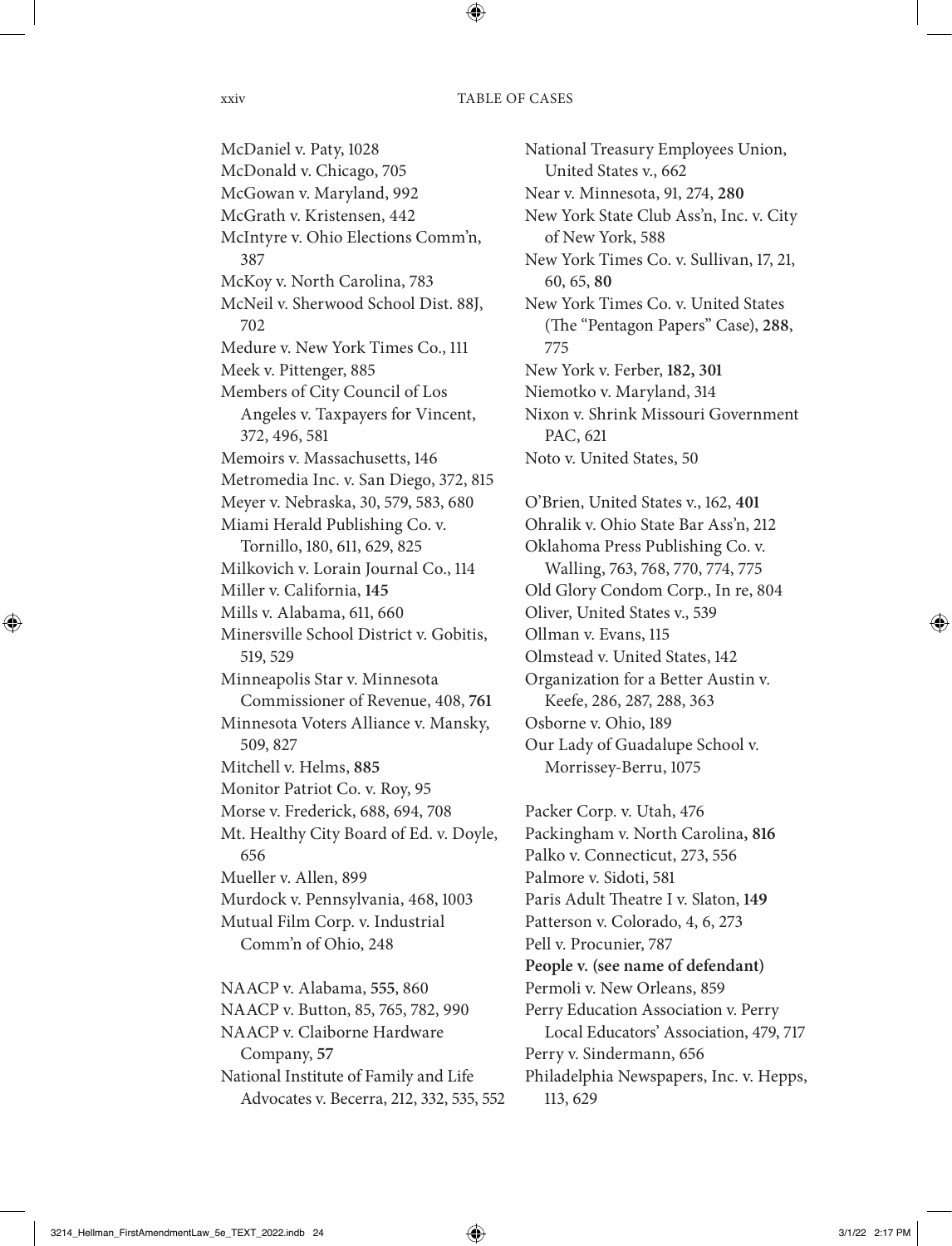McDaniel v. Paty, 1028 McDonald v. Chicago, 705 McGowan v. Maryland, 992 McGrath v. Kristensen, 442 McIntyre v. Ohio Elections Comm'n, 387 McKoy v. North Carolina, 783 McNeil v. Sherwood School Dist. 88J, 702 Medure v. New York Times Co., 111 Meek v. Pittenger, 885 Members of City Council of Los Angeles v. Taxpayers for Vincent, 372, 496, 581 Memoirs v. Massachusetts, 146 Metromedia Inc. v. San Diego, 372, 815 Meyer v. Nebraska, 30, 579, 583, 680 Miami Herald Publishing Co. v. Tornillo, 180, 611, 629, 825 Milkovich v. Lorain Journal Co., 114 Miller v. California, **145** Mills v. Alabama, 611, 660 Minersville School District v. Gobitis, 519, 529 Minneapolis Star v. Minnesota Commissioner of Revenue, 408, **761** Minnesota Voters Alliance v. Mansky, 509, 827 Mitchell v. Helms, **885** Monitor Patriot Co. v. Roy, 95 Morse v. Frederick, 688, 694, 708 Mt. Healthy City Board of Ed. v. Doyle, 656 Mueller v. Allen, 899 Murdock v. Pennsylvania, 468, 1003 Mutual Film Corp. v. Industrial Comm'n of Ohio, 248 NAACP v. Alabama, **555**, 860 NAACP v. Button, 85, 765, 782, 990 NAACP v. Claiborne Hardware Company, **57** National Institute of Family and Life

Advocates v. Becerra, 212, 332, 535, 552

National Treasury Employees Union, United States v., 662 Near v. Minnesota, 91, 274, **280** New York State Club Ass'n, Inc. v. City of New York, 588 New York Times Co. v. Sullivan, 17, 21, 60, 65, **80** New York Times Co. v. United States (The "Pentagon Papers" Case), **288**, 775 New York v. Ferber, **182, 301** Niemotko v. Maryland, 314 Nixon v. Shrink Missouri Government PAC, 621 Noto v. United States, 50

O'Brien, United States v., 162, **401** Ohralik v. Ohio State Bar Ass'n, 212 Oklahoma Press Publishing Co. v. Walling, 763, 768, 770, 774, 775 Old Glory Condom Corp., In re, 804 Oliver, United States v., 539 Ollman v. Evans, 115 Olmstead v. United States, 142 Organization for a Better Austin v. Keefe, 286, 287, 288, 363 Osborne v. Ohio, 189 Our Lady of Guadalupe School v. Morrissey-Berru, 1075

Packer Corp. v. Utah, 476 Packingham v. North Carolina**, 816** Palko v. Connecticut, 273, 556 Palmore v. Sidoti, 581 Paris Adult Theatre I v. Slaton, **149** Patterson v. Colorado, 4, 6, 273 Pell v. Procunier, 787 **People v. (see name of defendant)** Permoli v. New Orleans, 859 Perry Education Association v. Perry Local Educators' Association, 479, 717 Perry v. Sindermann, 656 Philadelphia Newspapers, Inc. v. Hepps, 113, 629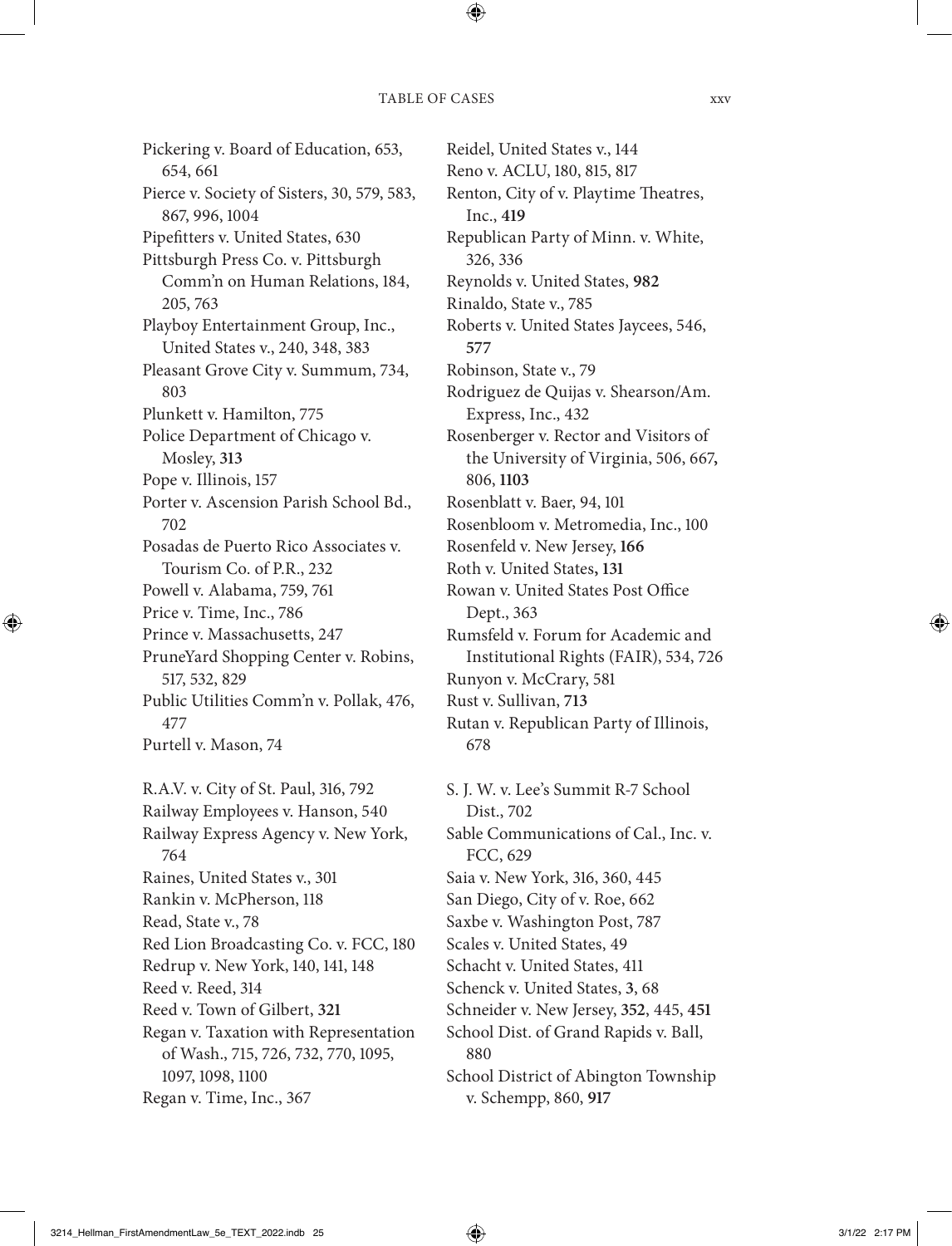Pickering v. Board of Education, 653, 654, 661 Pierce v. Society of Sisters, 30, 579, 583, 867, 996, 1004 Pipefitters v. United States, 630 Pittsburgh Press Co. v. Pittsburgh Comm'n on Human Relations, 184, 205, 763 Playboy Entertainment Group, Inc., United States v., 240, 348, 383 Pleasant Grove City v. Summum, 734, 803 Plunkett v. Hamilton, 775 Police Department of Chicago v. Mosley, **313** Pope v. Illinois, 157 Porter v. Ascension Parish School Bd., 702 Posadas de Puerto Rico Associates v. Tourism Co. of P.R., 232 Powell v. Alabama, 759, 761 Price v. Time, Inc., 786 Prince v. Massachusetts, 247 PruneYard Shopping Center v. Robins, 517, 532, 829 Public Utilities Comm'n v. Pollak, 476, 477 Purtell v. Mason, 74

R.A.V. v. City of St. Paul, 316, 792 Railway Employees v. Hanson, 540 Railway Express Agency v. New York, 764 Raines, United States v., 301 Rankin v. McPherson, 118 Read, State v., 78 Red Lion Broadcasting Co. v. FCC, 180 Redrup v. New York, 140, 141, 148 Reed v. Reed, 314 Reed v. Town of Gilbert, **321** Regan v. Taxation with Representation of Wash., 715, 726, 732, 770, 1095, 1097, 1098, 1100 Regan v. Time, Inc., 367

Reidel, United States v., 144 Reno v. ACLU, 180, 815, 817 Renton, City of v. Playtime Theatres, Inc., **419** Republican Party of Minn. v. White, 326, 336 Reynolds v. United States, **982** Rinaldo, State v., 785 Roberts v. United States Jaycees, 546, **577** Robinson, State v., 79 Rodriguez de Quijas v. Shearson/Am. Express, Inc., 432 Rosenberger v. Rector and Visitors of the University of Virginia, 506, 667**,** 806, **1103** Rosenblatt v. Baer, 94, 101 Rosenbloom v. Metromedia, Inc., 100 Rosenfeld v. New Jersey, **166** Roth v. United States**, 131** Rowan v. United States Post Office Dept., 363 Rumsfeld v. Forum for Academic and Institutional Rights (FAIR), 534, 726 Runyon v. McCrary, 581 Rust v. Sullivan, **713** Rutan v. Republican Party of Illinois, 678 S. J. W. v. Lee's Summit R-7 School Dist., 702

Sable Communications of Cal., Inc. v. FCC, 629 Saia v. New York, 316, 360, 445 San Diego, City of v. Roe, 662 Saxbe v. Washington Post, 787 Scales v. United States, 49 Schacht v. United States, 411 Schenck v. United States, **3**, 68 Schneider v. New Jersey, **352**, 445, **451** School Dist. of Grand Rapids v. Ball, 880 School District of Abington Township v. Schempp, 860, **917**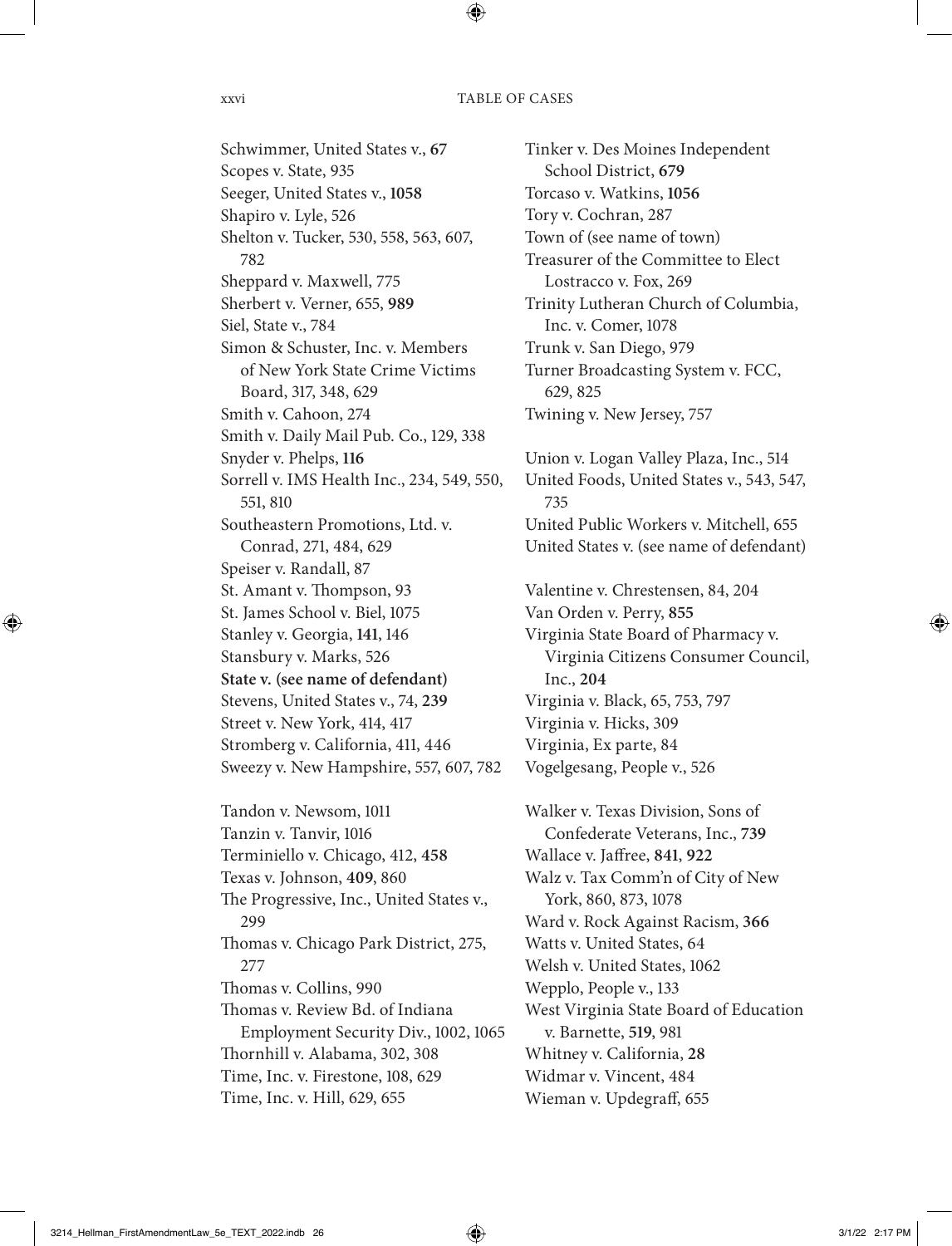Schwimmer, United States v., **67** Scopes v. State, 935 Seeger, United States v., **1058** Shapiro v. Lyle, 526 Shelton v. Tucker, 530, 558, 563, 607, 782 Sheppard v. Maxwell, 775 Sherbert v. Verner, 655, **989** Siel, State v., 784 Simon & Schuster, Inc. v. Members of New York State Crime Victims Board, 317, 348, 629 Smith v. Cahoon, 274 Smith v. Daily Mail Pub. Co., 129, 338 Snyder v. Phelps, **116** Sorrell v. IMS Health Inc., 234, 549, 550, 551, 810 Southeastern Promotions, Ltd. v. Conrad, 271, 484, 629 Speiser v. Randall, 87 St. Amant v. Thompson, 93 St. James School v. Biel, 1075 Stanley v. Georgia, **141**, 146 Stansbury v. Marks, 526 **State v. (see name of defendant)** Stevens, United States v., 74, **239** Street v. New York, 414, 417 Stromberg v. California, 411, 446 Sweezy v. New Hampshire, 557, 607, 782 Tandon v. Newsom, 1011 Tanzin v. Tanvir, 1016 Terminiello v. Chicago, 412, **458** Texas v. Johnson, **409**, 860 The Progressive, Inc., United States v., 299 Thomas v. Chicago Park District, 275, 277 Thomas v. Collins, 990 Thomas v. Review Bd. of Indiana Employment Security Div., 1002, 1065 Thornhill v. Alabama, 302, 308 Time, Inc. v. Firestone, 108, 629 Time, Inc. v. Hill, 629, 655

Tinker v. Des Moines Independent School District, **679** Torcaso v. Watkins, **1056** Tory v. Cochran, 287 Town of (see name of town) Treasurer of the Committee to Elect Lostracco v. Fox, 269 Trinity Lutheran Church of Columbia, Inc. v. Comer, 1078 Trunk v. San Diego, 979 Turner Broadcasting System v. FCC, 629, 825 Twining v. New Jersey, 757

Union v. Logan Valley Plaza, Inc., 514 United Foods, United States v., 543, 547, 735 United Public Workers v. Mitchell, 655 United States v. (see name of defendant)

Valentine v. Chrestensen, 84, 204 Van Orden v. Perry, **855** Virginia State Board of Pharmacy v. Virginia Citizens Consumer Council, Inc., **204** Virginia v. Black, 65, 753, 797 Virginia v. Hicks, 309 Virginia, Ex parte, 84 Vogelgesang, People v., 526

Walker v. Texas Division, Sons of Confederate Veterans, Inc., **739** Wallace v. Jaffree, **841**, **922** Walz v. Tax Comm'n of City of New York, 860, 873, 1078 Ward v. Rock Against Racism, **366** Watts v. United States, 64 Welsh v. United States, 1062 Wepplo, People v., 133 West Virginia State Board of Education v. Barnette, **519**, 981 Whitney v. California, **28** Widmar v. Vincent, 484 Wieman v. Updegraff, 655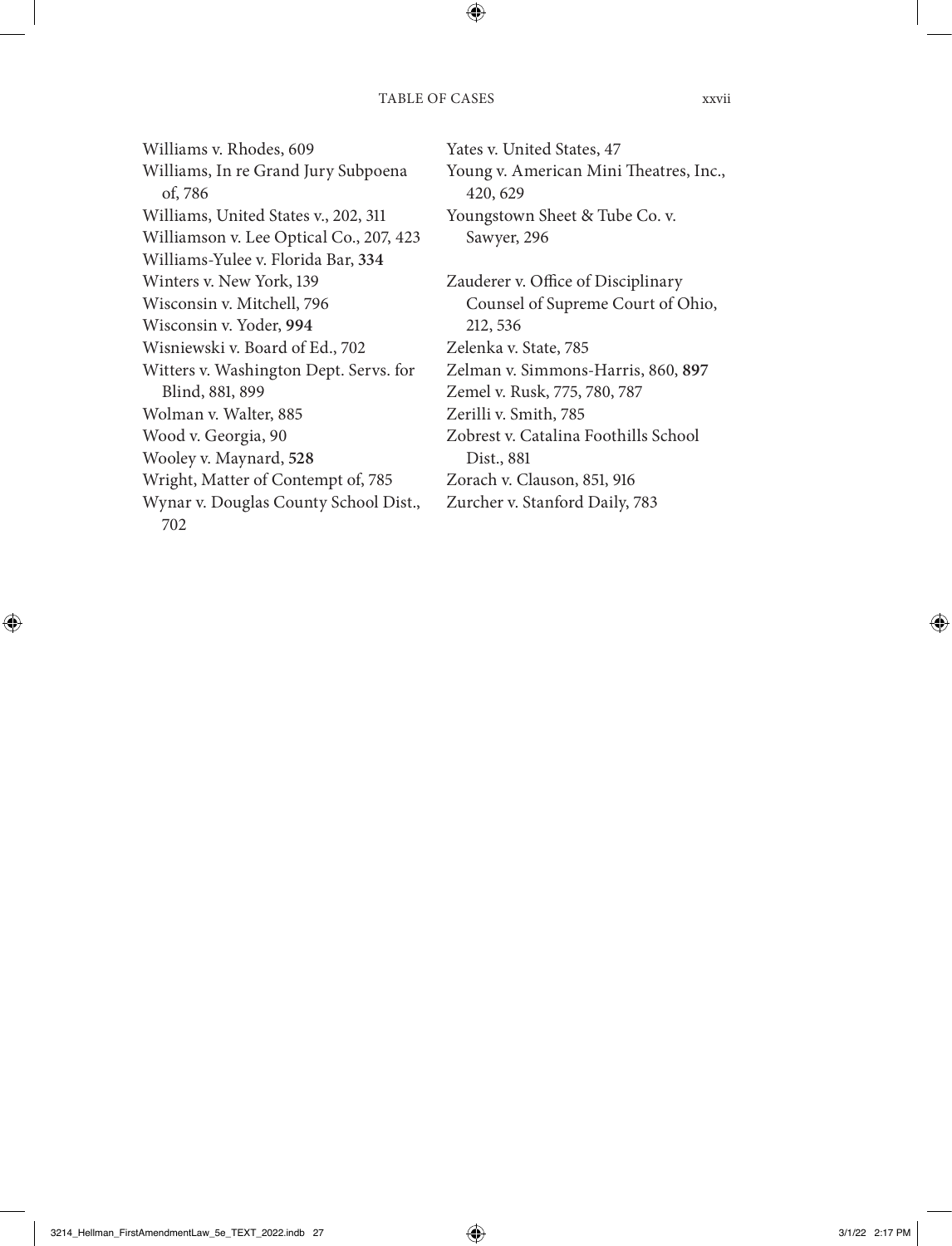Williams v. Rhodes, 609 Williams, In re Grand Jury Subpoena of, 786 Williams, United States v., 202, 311 Williamson v. Lee Optical Co., 207, 423 Williams-Yulee v. Florida Bar, **334** Winters v. New York, 139 Wisconsin v. Mitchell, 796 Wisconsin v. Yoder, **994** Wisniewski v. Board of Ed., 702 Witters v. Washington Dept. Servs. for Blind, 881, 899 Wolman v. Walter, 885 Wood v. Georgia, 90 Wooley v. Maynard, **528** Wright, Matter of Contempt of, 785 Wynar v. Douglas County School Dist., 702

Yates v. United States, 47 Young v. American Mini Theatres, Inc., 420, 629 Youngstown Sheet & Tube Co. v. Sawyer, 296

Zauderer v. Office of Disciplinary Counsel of Supreme Court of Ohio, 212, 536 Zelenka v. State, 785 Zelman v. Simmons-Harris, 860, **897** Zemel v. Rusk, 775, 780, 787 Zerilli v. Smith, 785 Zobrest v. Catalina Foothills School Dist., 881 Zorach v. Clauson, 851, 916 Zurcher v. Stanford Daily, 783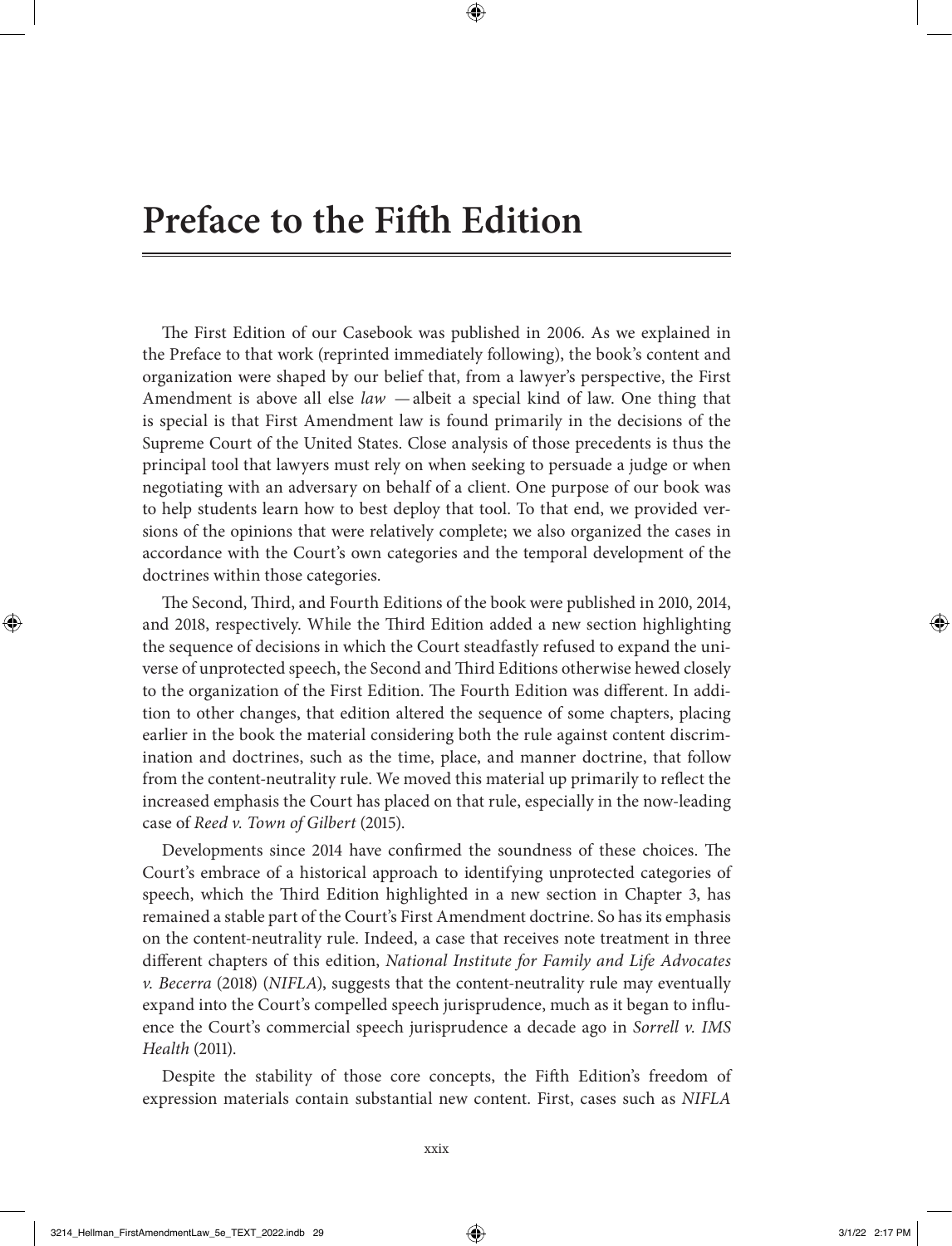The First Edition of our Casebook was published in 2006. As we explained in the Preface to that work (reprinted immediately following), the book's content and organization were shaped by our belief that, from a lawyer's perspective, the First Amendment is above all else *law*  — albeit a special kind of law. One thing that is special is that First Amendment law is found primarily in the decisions of the Supreme Court of the United States. Close analysis of those precedents is thus the principal tool that lawyers must rely on when seeking to persuade a judge or when negotiating with an adversary on behalf of a client. One purpose of our book was to help students learn how to best deploy that tool. To that end, we provided versions of the opinions that were relatively complete; we also organized the cases in accordance with the Court's own categories and the temporal development of the doctrines within those categories.

The Second, Third, and Fourth Editions of the book were published in 2010, 2014, and 2018, respectively. While the Third Edition added a new section highlighting the sequence of decisions in which the Court steadfastly refused to expand the universe of unprotected speech, the Second and Third Editions otherwise hewed closely to the organization of the First Edition. The Fourth Edition was different. In addition to other changes, that edition altered the sequence of some chapters, placing earlier in the book the material considering both the rule against content discrimination and doctrines, such as the time, place, and manner doctrine, that follow from the content-neutrality rule. We moved this material up primarily to reflect the increased emphasis the Court has placed on that rule, especially in the now-leading case of *Reed v. Town of Gilbert* (2015).

Developments since 2014 have confirmed the soundness of these choices. The Court's embrace of a historical approach to identifying unprotected categories of speech, which the Third Edition highlighted in a new section in Chapter 3, has remained a stable part of the Court's First Amendment doctrine. So has its emphasis on the content-neutrality rule. Indeed, a case that receives note treatment in three different chapters of this edition, *National Institute for Family and Life Advocates v. Becerra* (2018) (*NIFLA*), suggests that the content-neutrality rule may eventually expand into the Court's compelled speech jurisprudence, much as it began to influence the Court's commercial speech jurisprudence a decade ago in *Sorrell v. IMS Health* (2011).

Despite the stability of those core concepts, the Fifth Edition's freedom of expression materials contain substantial new content. First, cases such as *NIFLA*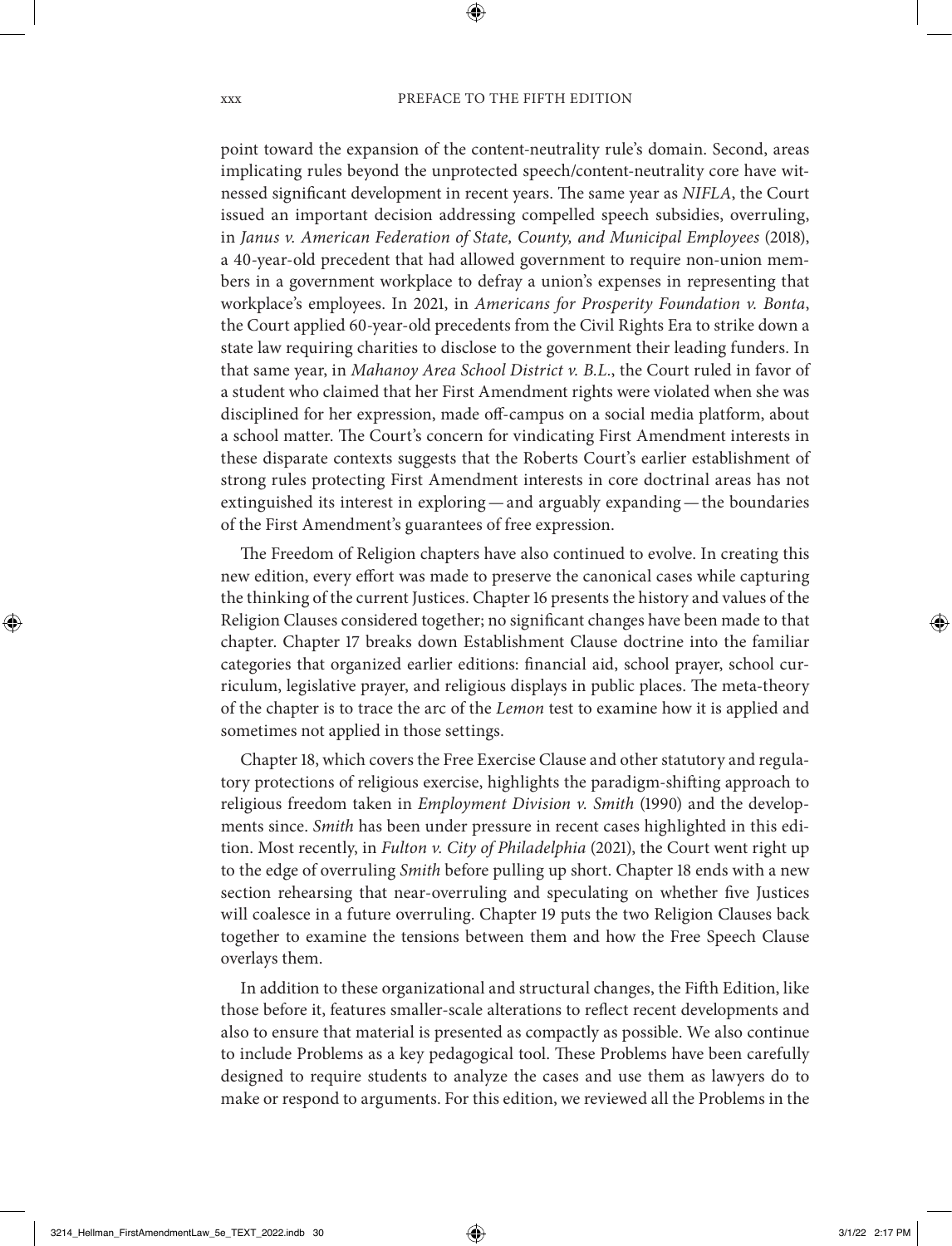point toward the expansion of the content-neutrality rule's domain. Second, areas implicating rules beyond the unprotected speech/content-neutrality core have witnessed significant development in recent years. The same year as *NIFLA*, the Court issued an important decision addressing compelled speech subsidies, overruling, in *Janus v. American Federation of State, County, and Municipal Employees* (2018), a 40-year-old precedent that had allowed government to require non-union members in a government workplace to defray a union's expenses in representing that workplace's employees. In 2021, in *Americans for Prosperity Foundation v. Bonta*, the Court applied 60-year-old precedents from the Civil Rights Era to strike down a state law requiring charities to disclose to the government their leading funders. In that same year, in *Mahanoy Area School District v. B.L.*, the Court ruled in favor of a student who claimed that her First Amendment rights were violated when she was disciplined for her expression, made off-campus on a social media platform, about a school matter. The Court's concern for vindicating First Amendment interests in these disparate contexts suggests that the Roberts Court's earlier establishment of strong rules protecting First Amendment interests in core doctrinal areas has not extinguished its interest in exploring— and arguably expanding— the boundaries of the First Amendment's guarantees of free expression.

The Freedom of Religion chapters have also continued to evolve. In creating this new edition, every effort was made to preserve the canonical cases while capturing the thinking of the current Justices. Chapter 16 presents the history and values of the Religion Clauses considered together; no significant changes have been made to that chapter. Chapter 17 breaks down Establishment Clause doctrine into the familiar categories that organized earlier editions: financial aid, school prayer, school curriculum, legislative prayer, and religious displays in public places. The meta-theory of the chapter is to trace the arc of the *Lemon* test to examine how it is applied and sometimes not applied in those settings.

Chapter 18, which covers the Free Exercise Clause and other statutory and regulatory protections of religious exercise, highlights the paradigm-shifting approach to religious freedom taken in *Employment Division v. Smith* (1990) and the developments since. *Smith* has been under pressure in recent cases highlighted in this edition. Most recently, in *Fulton v. City of Philadelphia* (2021), the Court went right up to the edge of overruling *Smith* before pulling up short. Chapter 18 ends with a new section rehearsing that near-overruling and speculating on whether five Justices will coalesce in a future overruling. Chapter 19 puts the two Religion Clauses back together to examine the tensions between them and how the Free Speech Clause overlays them.

In addition to these organizational and structural changes, the Fifth Edition, like those before it, features smaller-scale alterations to reflect recent developments and also to ensure that material is presented as compactly as possible. We also continue to include Problems as a key pedagogical tool. These Problems have been carefully designed to require students to analyze the cases and use them as lawyers do to make or respond to arguments. For this edition, we reviewed all the Problems in the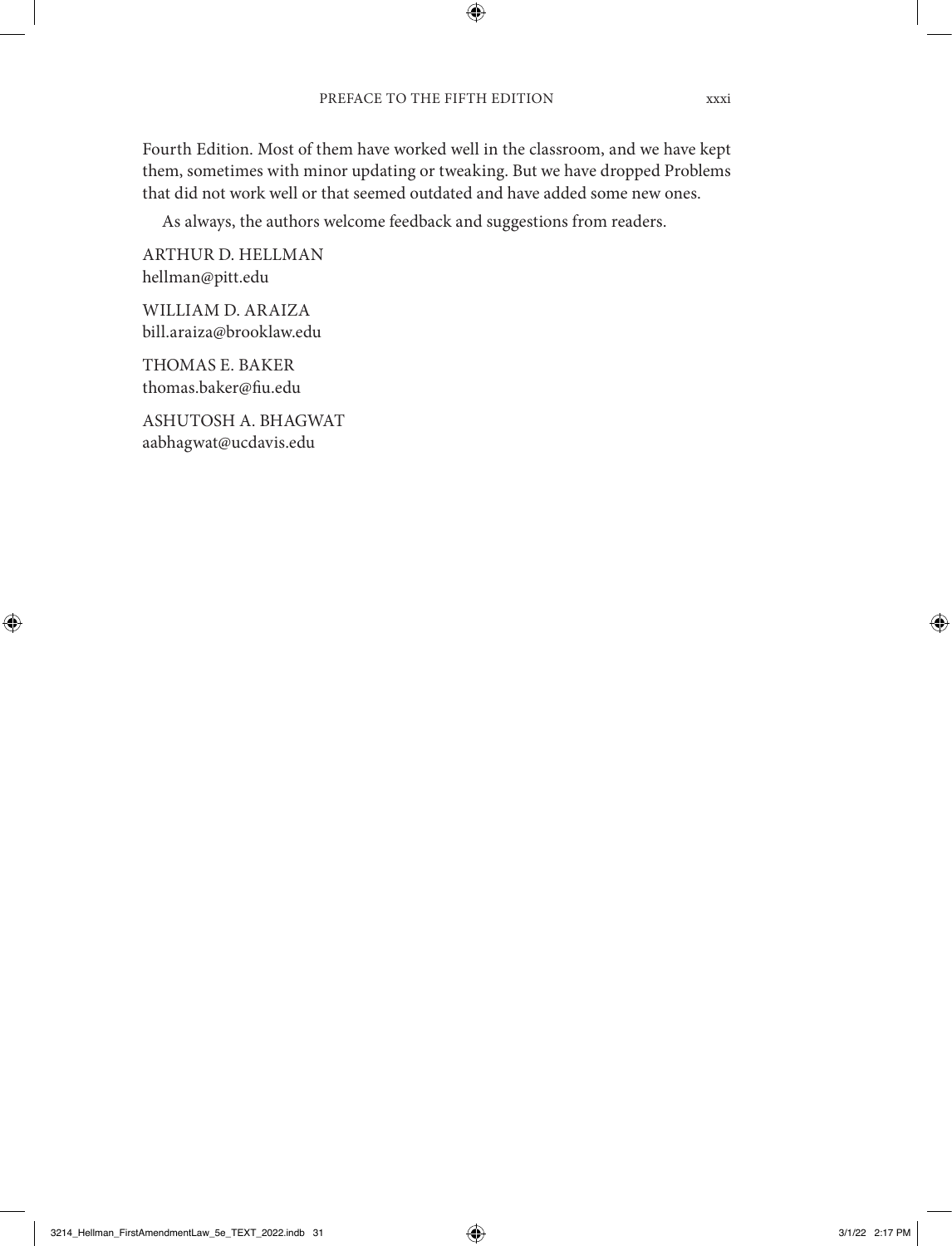Fourth Edition. Most of them have worked well in the classroom, and we have kept them, sometimes with minor updating or tweaking. But we have dropped Problems that did not work well or that seemed outdated and have added some new ones.

As always, the authors welcome feedback and suggestions from readers.

ARTHUR D. HELLMAN [hellman@pitt.edu](mailto:hellman@pitt​.edu)

WILLIAM D. ARAIZA [bill.araiza@brooklaw.edu](mailto:bill​.araiza@brooklaw​.edu)

THOMAS E. BAKER [thomas.baker@fiu.edu](mailto:thomas​.baker@fiu​.edu)

ASHUTOSH A. BHAGWAT aabhagwat@ucdavis.edu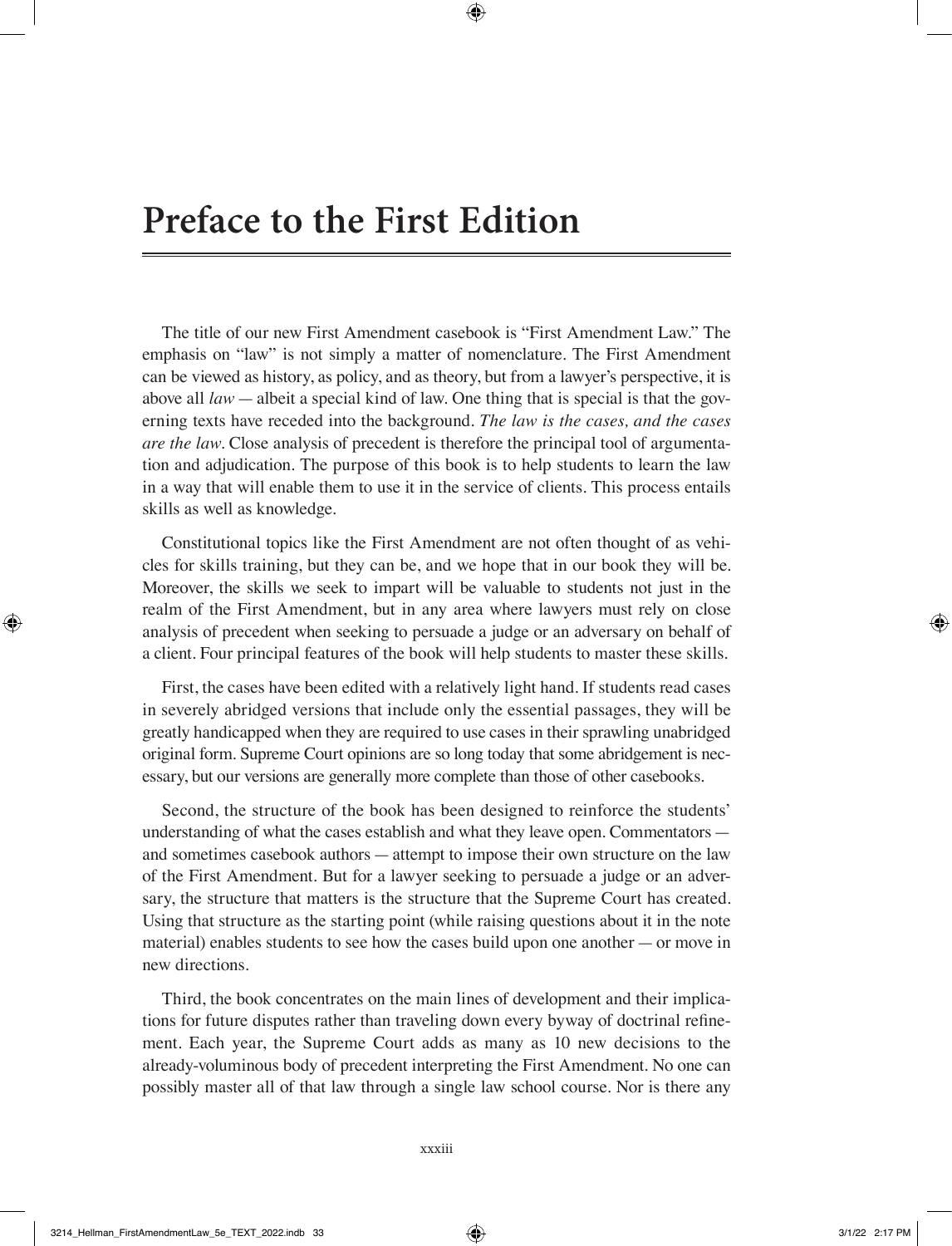The title of our new First Amendment casebook is "First Amendment Law." The emphasis on "law" is not simply a matter of nomenclature. The First Amendment can be viewed as history, as policy, and as theory, but from a lawyer's perspective, it is above all *law*— albeit a special kind of law. One thing that is special is that the governing texts have receded into the background. *The law is the cases, and the cases are the law.* Close analysis of precedent is therefore the principal tool of argumentation and adjudication. The purpose of this book is to help students to learn the law in a way that will enable them to use it in the service of clients. This process entails skills as well as knowledge.

Constitutional topics like the First Amendment are not often thought of as vehicles for skills training, but they can be, and we hope that in our book they will be. Moreover, the skills we seek to impart will be valuable to students not just in the realm of the First Amendment, but in any area where lawyers must rely on close analysis of precedent when seeking to persuade a judge or an adversary on behalf of a client. Four principal features of the book will help students to master these skills.

First, the cases have been edited with a relatively light hand. If students read cases in severely abridged versions that include only the essential passages, they will be greatly handicapped when they are required to use cases in their sprawling unabridged original form. Supreme Court opinions are so long today that some abridgement is necessary, but our versions are generally more complete than those of other casebooks.

Second, the structure of the book has been designed to reinforce the students' understanding of what the cases establish and what they leave open. Commentators and sometimes casebook authors— attempt to impose their own structure on the law of the First Amendment. But for a lawyer seeking to persuade a judge or an adversary, the structure that matters is the structure that the Supreme Court has created. Using that structure as the starting point (while raising questions about it in the note material) enables students to see how the cases build upon one another— or move in new directions.

Third, the book concentrates on the main lines of development and their implications for future disputes rather than traveling down every byway of doctrinal refinement. Each year, the Supreme Court adds as many as 10 new decisions to the already-voluminous body of precedent interpreting the First Amendment. No one can possibly master all of that law through a single law school course. Nor is there any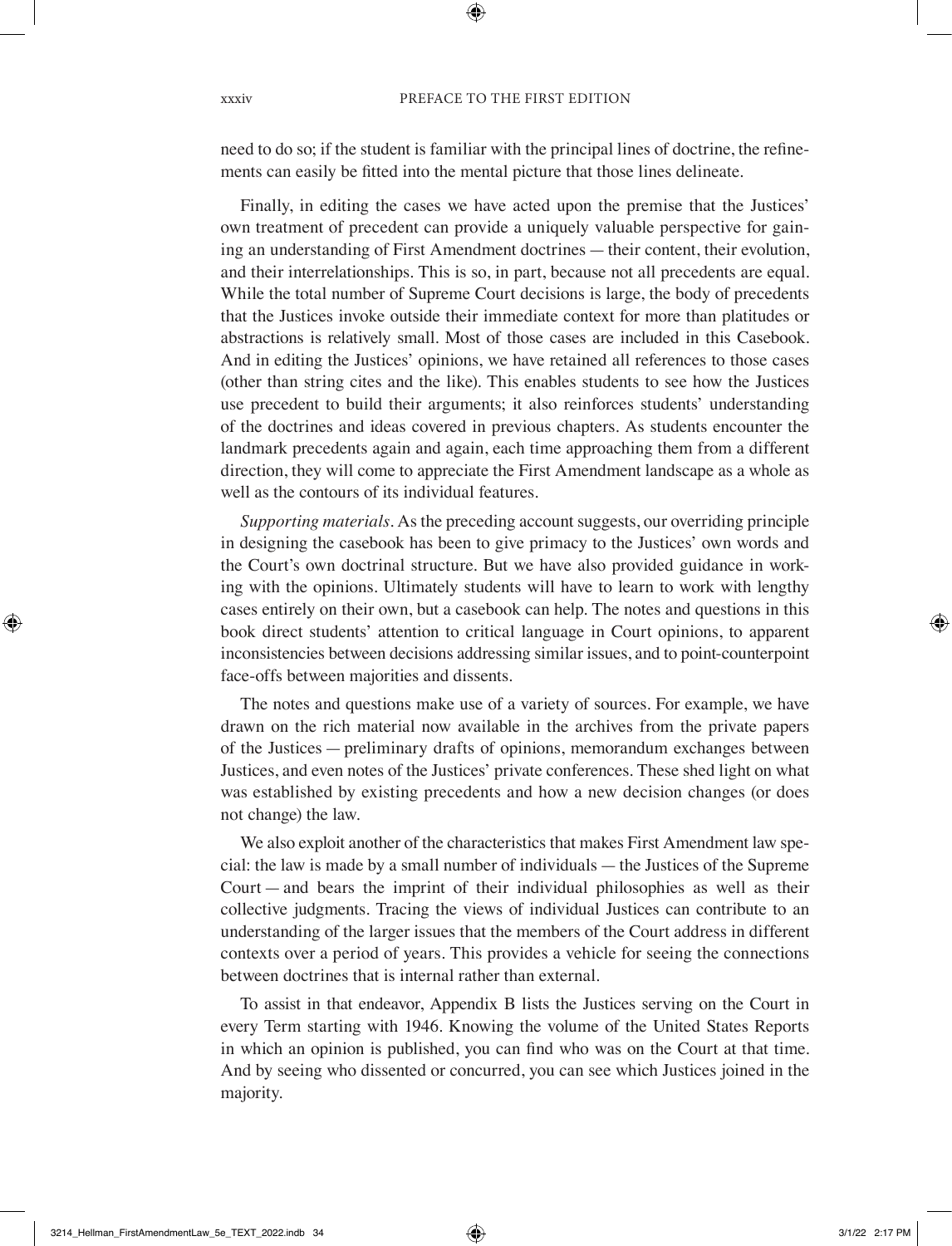need to do so; if the student is familiar with the principal lines of doctrine, the refinements can easily be fitted into the mental picture that those lines delineate.

Finally, in editing the cases we have acted upon the premise that the Justices' own treatment of precedent can provide a uniquely valuable perspective for gaining an understanding of First Amendment doctrines— their content, their evolution, and their interrelationships. This is so, in part, because not all precedents are equal. While the total number of Supreme Court decisions is large, the body of precedents that the Justices invoke outside their immediate context for more than platitudes or abstractions is relatively small. Most of those cases are included in this Casebook. And in editing the Justices' opinions, we have retained all references to those cases (other than string cites and the like). This enables students to see how the Justices use precedent to build their arguments; it also reinforces students' understanding of the doctrines and ideas covered in previous chapters. As students encounter the landmark precedents again and again, each time approaching them from a different direction, they will come to appreciate the First Amendment landscape as a whole as well as the contours of its individual features.

*Supporting materials.* As the preceding account suggests, our overriding principle in designing the casebook has been to give primacy to the Justices' own words and the Court's own doctrinal structure. But we have also provided guidance in working with the opinions. Ultimately students will have to learn to work with lengthy cases entirely on their own, but a casebook can help. The notes and questions in this book direct students' attention to critical language in Court opinions, to apparent inconsistencies between decisions addressing similar issues, and to point-counterpoint face-offs between majorities and dissents.

The notes and questions make use of a variety of sources. For example, we have drawn on the rich material now available in the archives from the private papers of the Justices— preliminary drafts of opinions, memorandum exchanges between Justices, and even notes of the Justices' private conferences. These shed light on what was established by existing precedents and how a new decision changes (or does not change) the law.

We also exploit another of the characteristics that makes First Amendment law special: the law is made by a small number of individuals— the Justices of the Supreme Court— and bears the imprint of their individual philosophies as well as their collective judgments. Tracing the views of individual Justices can contribute to an understanding of the larger issues that the members of the Court address in different contexts over a period of years. This provides a vehicle for seeing the connections between doctrines that is internal rather than external.

To assist in that endeavor, Appendix B lists the Justices serving on the Court in every Term starting with 1946. Knowing the volume of the United States Reports in which an opinion is published, you can find who was on the Court at that time. And by seeing who dissented or concurred, you can see which Justices joined in the majority.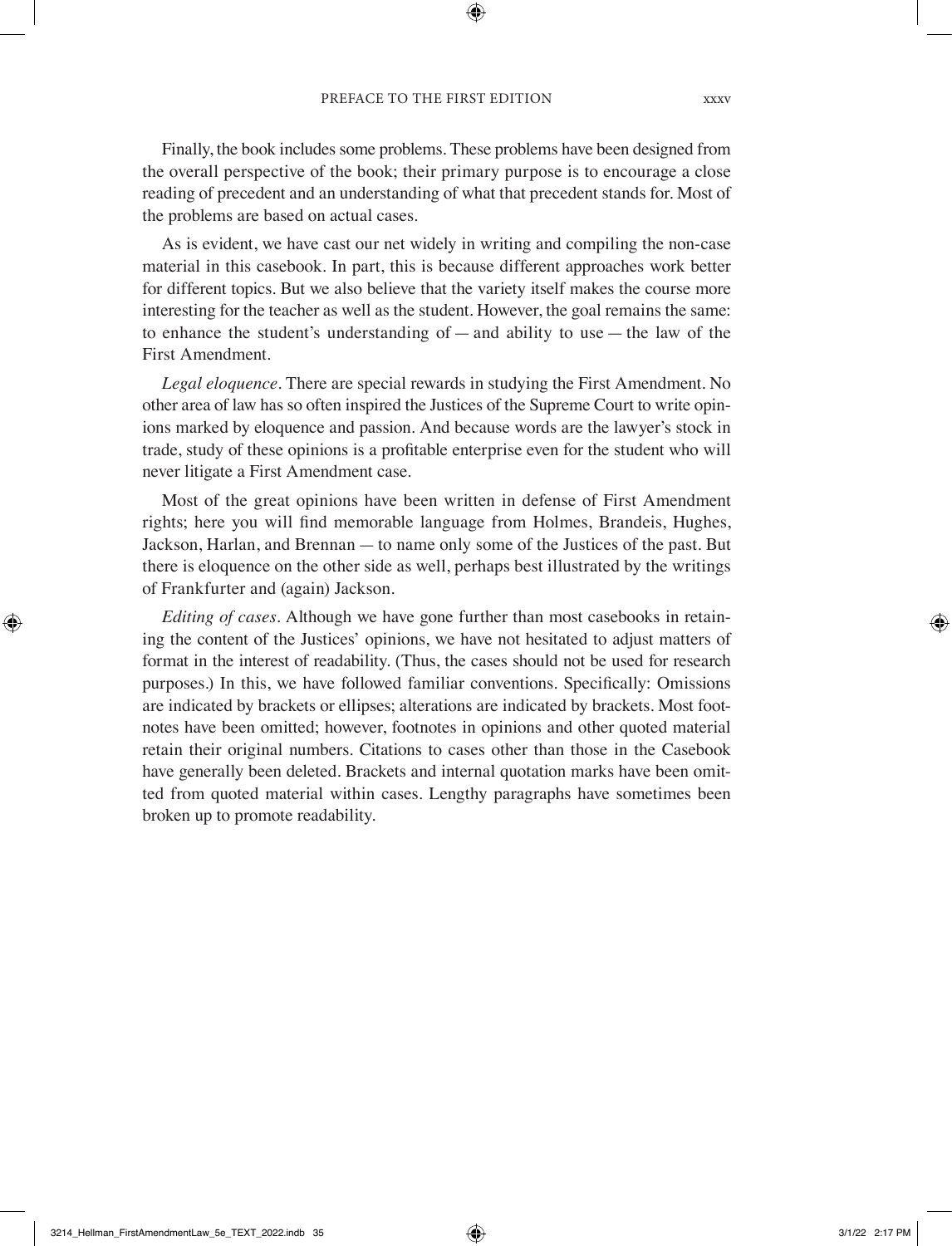Finally, the book includes some problems. These problems have been designed from the overall perspective of the book; their primary purpose is to encourage a close reading of precedent and an understanding of what that precedent stands for. Most of the problems are based on actual cases.

As is evident, we have cast our net widely in writing and compiling the non-case material in this casebook. In part, this is because different approaches work better for different topics. But we also believe that the variety itself makes the course more interesting for the teacher as well as the student. However, the goal remains the same: to enhance the student's understanding of  $-$  and ability to use  $-$  the law of the First Amendment.

*Legal eloquence.* There are special rewards in studying the First Amendment. No other area of law has so often inspired the Justices of the Supreme Court to write opinions marked by eloquence and passion. And because words are the lawyer's stock in trade, study of these opinions is a profitable enterprise even for the student who will never litigate a First Amendment case.

Most of the great opinions have been written in defense of First Amendment rights; here you will find memorable language from Holmes, Brandeis, Hughes, Jackson, Harlan, and Brennan— to name only some of the Justices of the past. But there is eloquence on the other side as well, perhaps best illustrated by the writings of Frankfurter and (again) Jackson.

*Editing of cases.* Although we have gone further than most casebooks in retaining the content of the Justices' opinions, we have not hesitated to adjust matters of format in the interest of readability. (Thus, the cases should not be used for research purposes.) In this, we have followed familiar conventions. Specifically: Omissions are indicated by brackets or ellipses; alterations are indicated by brackets. Most footnotes have been omitted; however, footnotes in opinions and other quoted material retain their original numbers. Citations to cases other than those in the Casebook have generally been deleted. Brackets and internal quotation marks have been omitted from quoted material within cases. Lengthy paragraphs have sometimes been broken up to promote readability.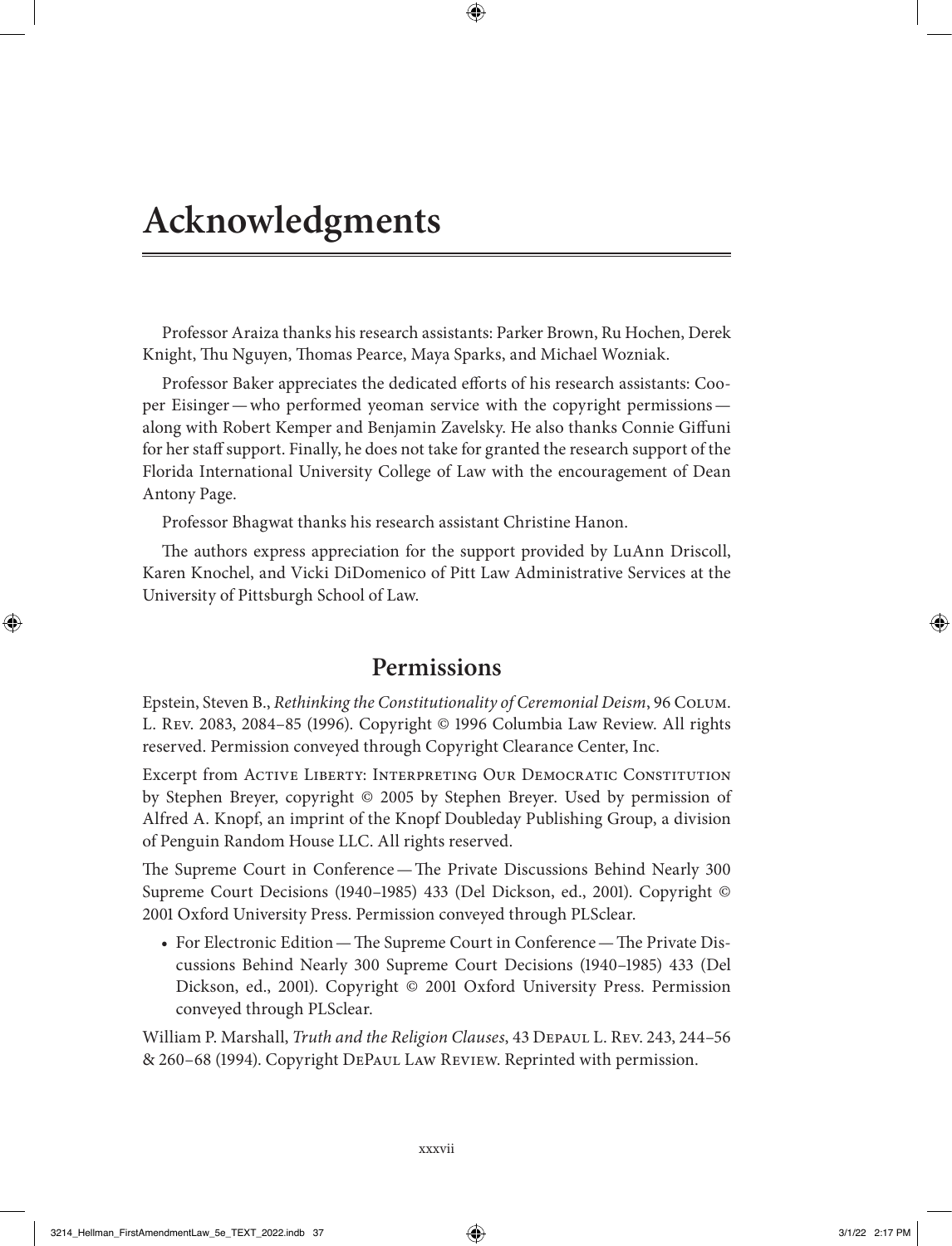Professor Araiza thanks his research assistants: Parker Brown, Ru Hochen, Derek Knight, Thu Nguyen, Thomas Pearce, Maya Sparks, and Michael Wozniak.

Professor Baker appreciates the dedicated efforts of his research assistants: Cooper Eisinger— who performed yeoman service with the copyright permissions along with Robert Kemper and Benjamin Zavelsky. He also thanks Connie Giffuni for her staff support. Finally, he does not take for granted the research support of the Florida International University College of Law with the encouragement of Dean Antony Page.

Professor Bhagwat thanks his research assistant Christine Hanon.

The authors express appreciation for the support provided by LuAnn Driscoll, Karen Knochel, and Vicki DiDomenico of Pitt Law Administrative Services at the University of Pittsburgh School of Law.

#### **Permissions**

Epstein, Steven B., *Rethinking the Constitutionality of Ceremonial Deism*, 96 Colum. L. Rev. 2083, 2084–85 (1996). Copyright © 1996 Columbia Law Review. All rights reserved. Permission conveyed through Copyright Clearance Center, Inc.

Excerpt from Active Liberty: Interpreting Our Democratic Constitution by Stephen Breyer, copyright © 2005 by Stephen Breyer. Used by permission of Alfred A. Knopf, an imprint of the Knopf Doubleday Publishing Group, a division of Penguin Random House LLC. All rights reserved.

The Supreme Court in Conference— The Private Discussions Behind Nearly 300 Supreme Court Decisions (1940–1985) 433 (Del Dickson, ed., 2001). Copyright © 2001 Oxford University Press. Permission conveyed through PLSclear.

• For Electronic Edition— The Supreme Court in Conference— The Private Discussions Behind Nearly 300 Supreme Court Decisions (1940–1985) 433 (Del Dickson, ed., 2001). Copyright © 2001 Oxford University Press. Permission conveyed through PLSclear.

William P. Marshall, *Truth and the Religion Clauses*, 43 Depaul L. Rev. 243, 244–56 & 260–68 (1994). Copyright DePaul Law Review. Reprinted with permission.